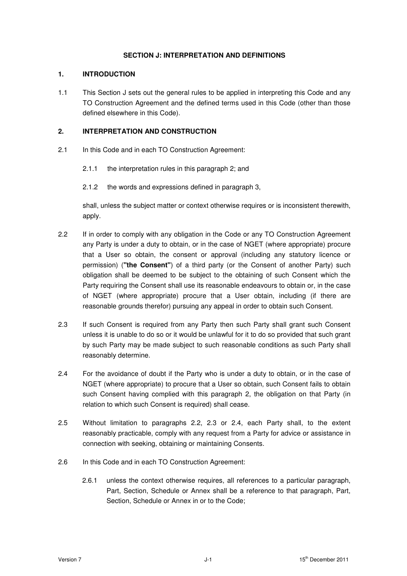## **SECTION J: INTERPRETATION AND DEFINITIONS**

## **1. INTRODUCTION**

1.1 This Section J sets out the general rules to be applied in interpreting this Code and any TO Construction Agreement and the defined terms used in this Code (other than those defined elsewhere in this Code).

## **2. INTERPRETATION AND CONSTRUCTION**

- 2.1 In this Code and in each TO Construction Agreement:
	- 2.1.1 the interpretation rules in this paragraph 2; and
	- 2.1.2 the words and expressions defined in paragraph 3,

 shall, unless the subject matter or context otherwise requires or is inconsistent therewith, apply.

- 2.2 If in order to comply with any obligation in the Code or any TO Construction Agreement any Party is under a duty to obtain, or in the case of NGET (where appropriate) procure that a User so obtain, the consent or approval (including any statutory licence or permission) (**"the Consent"**) of a third party (or the Consent of another Party) such obligation shall be deemed to be subject to the obtaining of such Consent which the Party requiring the Consent shall use its reasonable endeavours to obtain or, in the case of NGET (where appropriate) procure that a User obtain, including (if there are reasonable grounds therefor) pursuing any appeal in order to obtain such Consent.
- 2.3 If such Consent is required from any Party then such Party shall grant such Consent unless it is unable to do so or it would be unlawful for it to do so provided that such grant by such Party may be made subject to such reasonable conditions as such Party shall reasonably determine.
- 2.4 For the avoidance of doubt if the Party who is under a duty to obtain, or in the case of NGET (where appropriate) to procure that a User so obtain, such Consent fails to obtain such Consent having complied with this paragraph 2, the obligation on that Party (in relation to which such Consent is required) shall cease.
- 2.5 Without limitation to paragraphs 2.2, 2.3 or 2.4, each Party shall, to the extent reasonably practicable, comply with any request from a Party for advice or assistance in connection with seeking, obtaining or maintaining Consents.
- 2.6 In this Code and in each TO Construction Agreement:
	- 2.6.1 unless the context otherwise requires, all references to a particular paragraph, Part, Section, Schedule or Annex shall be a reference to that paragraph, Part, Section, Schedule or Annex in or to the Code;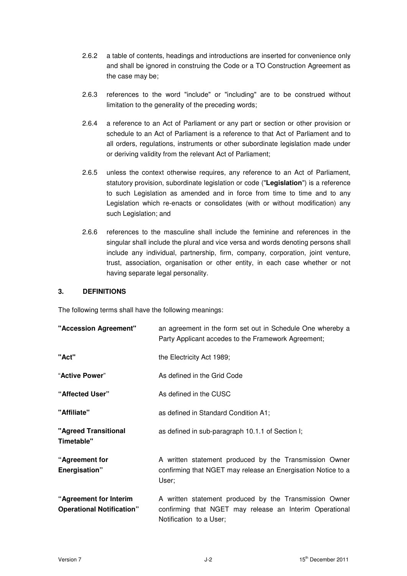- 2.6.2 a table of contents, headings and introductions are inserted for convenience only and shall be ignored in construing the Code or a TO Construction Agreement as the case may be;
- 2.6.3 references to the word "include" or "including" are to be construed without limitation to the generality of the preceding words;
- 2.6.4 a reference to an Act of Parliament or any part or section or other provision or schedule to an Act of Parliament is a reference to that Act of Parliament and to all orders, regulations, instruments or other subordinate legislation made under or deriving validity from the relevant Act of Parliament;
- 2.6.5 unless the context otherwise requires, any reference to an Act of Parliament, statutory provision, subordinate legislation or code ("**Legislation**") is a reference to such Legislation as amended and in force from time to time and to any Legislation which re-enacts or consolidates (with or without modification) any such Legislation; and
- 2.6.6 references to the masculine shall include the feminine and references in the singular shall include the plural and vice versa and words denoting persons shall include any individual, partnership, firm, company, corporation, joint venture, trust, association, organisation or other entity, in each case whether or not having separate legal personality.

## **3. DEFINITIONS**

The following terms shall have the following meanings:

| "Accession Agreement"                                      | an agreement in the form set out in Schedule One whereby a<br>Party Applicant accedes to the Framework Agreement;                            |
|------------------------------------------------------------|----------------------------------------------------------------------------------------------------------------------------------------------|
| "Act"                                                      | the Electricity Act 1989;                                                                                                                    |
| "Active Power"                                             | As defined in the Grid Code                                                                                                                  |
| "Affected User"                                            | As defined in the CUSC                                                                                                                       |
| "Affiliate"                                                | as defined in Standard Condition A1;                                                                                                         |
| "Agreed Transitional<br>Timetable"                         | as defined in sub-paragraph 10.1.1 of Section I;                                                                                             |
| "Agreement for<br>Energisation"                            | A written statement produced by the Transmission Owner<br>confirming that NGET may release an Energisation Notice to a<br>User;              |
| "Agreement for Interim<br><b>Operational Notification"</b> | A written statement produced by the Transmission Owner<br>confirming that NGET may release an Interim Operational<br>Notification to a User; |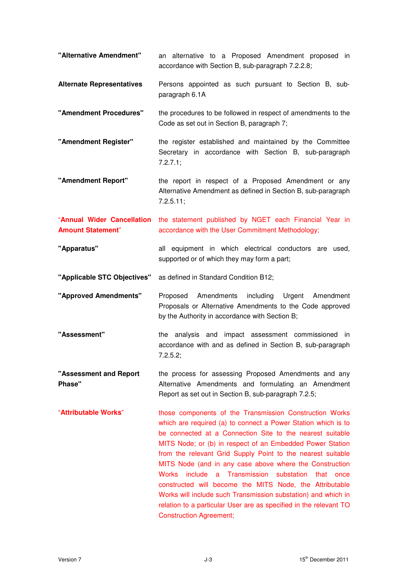| "Alternative Amendment"                                | an alternative to a Proposed Amendment proposed in<br>accordance with Section B, sub-paragraph 7.2.2.8;                                                                                                                                                                                                                                                                                                                                                                                                                                                                                                                                                              |
|--------------------------------------------------------|----------------------------------------------------------------------------------------------------------------------------------------------------------------------------------------------------------------------------------------------------------------------------------------------------------------------------------------------------------------------------------------------------------------------------------------------------------------------------------------------------------------------------------------------------------------------------------------------------------------------------------------------------------------------|
| <b>Alternate Representatives</b>                       | Persons appointed as such pursuant to Section B, sub-<br>paragraph 6.1A                                                                                                                                                                                                                                                                                                                                                                                                                                                                                                                                                                                              |
| "Amendment Procedures"                                 | the procedures to be followed in respect of amendments to the<br>Code as set out in Section B, paragraph 7;                                                                                                                                                                                                                                                                                                                                                                                                                                                                                                                                                          |
| "Amendment Register"                                   | the register established and maintained by the Committee<br>Secretary in accordance with Section B, sub-paragraph<br>7.2.7.1;                                                                                                                                                                                                                                                                                                                                                                                                                                                                                                                                        |
| "Amendment Report"                                     | the report in respect of a Proposed Amendment or any<br>Alternative Amendment as defined in Section B, sub-paragraph<br>$7.2.5.11$ ;                                                                                                                                                                                                                                                                                                                                                                                                                                                                                                                                 |
| "Annual Wider Cancellation<br><b>Amount Statement"</b> | the statement published by NGET each Financial Year in<br>accordance with the User Commitment Methodology;                                                                                                                                                                                                                                                                                                                                                                                                                                                                                                                                                           |
| "Apparatus"                                            | all equipment in which electrical conductors are used,<br>supported or of which they may form a part;                                                                                                                                                                                                                                                                                                                                                                                                                                                                                                                                                                |
| "Applicable STC Objectives"                            | as defined in Standard Condition B12;                                                                                                                                                                                                                                                                                                                                                                                                                                                                                                                                                                                                                                |
| "Approved Amendments"                                  | Proposed Amendments<br>including Urgent Amendment<br>Proposals or Alternative Amendments to the Code approved<br>by the Authority in accordance with Section B;                                                                                                                                                                                                                                                                                                                                                                                                                                                                                                      |
| "Assessment"                                           | the analysis and impact assessment commissioned in<br>accordance with and as defined in Section B, sub-paragraph<br>7.2.5.2;                                                                                                                                                                                                                                                                                                                                                                                                                                                                                                                                         |
| "Assessment and Report<br><b>Phase"</b>                | the process for assessing Proposed Amendments and any<br>Alternative Amendments and formulating an Amendment<br>Report as set out in Section B, sub-paragraph 7.2.5;                                                                                                                                                                                                                                                                                                                                                                                                                                                                                                 |
| "Attributable Works"                                   | those components of the Transmission Construction Works<br>which are required (a) to connect a Power Station which is to<br>be connected at a Connection Site to the nearest suitable<br>MITS Node; or (b) in respect of an Embedded Power Station<br>from the relevant Grid Supply Point to the nearest suitable<br>MITS Node (and in any case above where the Construction<br>Works include a Transmission substation that once<br>constructed will become the MITS Node, the Attributable<br>Works will include such Transmission substation) and which in<br>relation to a particular User are as specified in the relevant TO<br><b>Construction Agreement;</b> |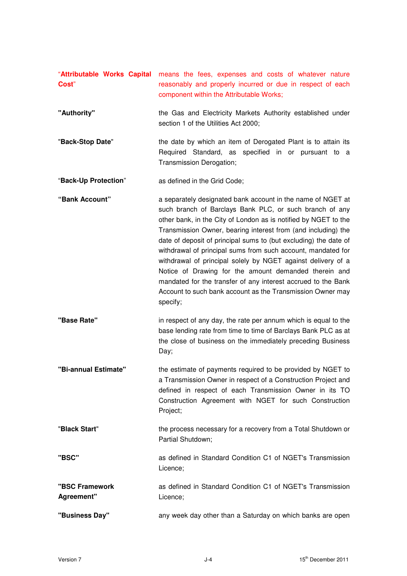| "Attributable Works Capital<br>Cost" | means the fees, expenses and costs of whatever nature<br>reasonably and properly incurred or due in respect of each<br>component within the Attributable Works;                                                                                                                                                                                                                                                                                                                                                                                                                                                                                                    |
|--------------------------------------|--------------------------------------------------------------------------------------------------------------------------------------------------------------------------------------------------------------------------------------------------------------------------------------------------------------------------------------------------------------------------------------------------------------------------------------------------------------------------------------------------------------------------------------------------------------------------------------------------------------------------------------------------------------------|
| "Authority"                          | the Gas and Electricity Markets Authority established under<br>section 1 of the Utilities Act 2000;                                                                                                                                                                                                                                                                                                                                                                                                                                                                                                                                                                |
| "Back-Stop Date"                     | the date by which an item of Derogated Plant is to attain its<br>Required Standard, as specified in or pursuant to a<br>Transmission Derogation;                                                                                                                                                                                                                                                                                                                                                                                                                                                                                                                   |
| "Back-Up Protection"                 | as defined in the Grid Code;                                                                                                                                                                                                                                                                                                                                                                                                                                                                                                                                                                                                                                       |
| "Bank Account"                       | a separately designated bank account in the name of NGET at<br>such branch of Barclays Bank PLC, or such branch of any<br>other bank, in the City of London as is notified by NGET to the<br>Transmission Owner, bearing interest from (and including) the<br>date of deposit of principal sums to (but excluding) the date of<br>withdrawal of principal sums from such account, mandated for<br>withdrawal of principal solely by NGET against delivery of a<br>Notice of Drawing for the amount demanded therein and<br>mandated for the transfer of any interest accrued to the Bank<br>Account to such bank account as the Transmission Owner may<br>specify; |
| "Base Rate"                          | in respect of any day, the rate per annum which is equal to the<br>base lending rate from time to time of Barclays Bank PLC as at<br>the close of business on the immediately preceding Business<br>Day;                                                                                                                                                                                                                                                                                                                                                                                                                                                           |
| "Bi-annual Estimate"                 | the estimate of payments required to be provided by NGET to<br>a Transmission Owner in respect of a Construction Project and<br>defined in respect of each Transmission Owner in its TO<br>Construction Agreement with NGET for such Construction<br>Project;                                                                                                                                                                                                                                                                                                                                                                                                      |
| "Black Start"                        | the process necessary for a recovery from a Total Shutdown or<br>Partial Shutdown;                                                                                                                                                                                                                                                                                                                                                                                                                                                                                                                                                                                 |
| "BSC"                                | as defined in Standard Condition C1 of NGET's Transmission<br>Licence;                                                                                                                                                                                                                                                                                                                                                                                                                                                                                                                                                                                             |
| "BSC Framework<br>Agreement"         | as defined in Standard Condition C1 of NGET's Transmission<br>Licence;                                                                                                                                                                                                                                                                                                                                                                                                                                                                                                                                                                                             |
| "Business Day"                       | any week day other than a Saturday on which banks are open                                                                                                                                                                                                                                                                                                                                                                                                                                                                                                                                                                                                         |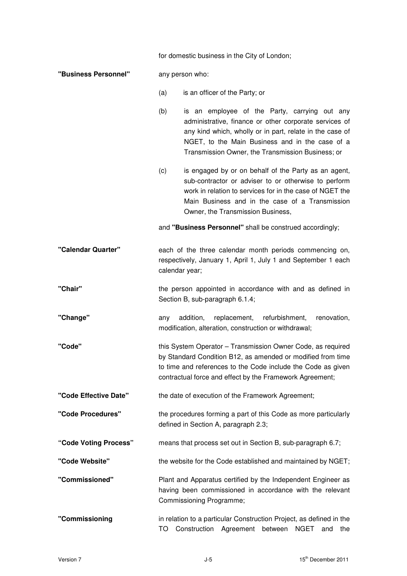|                       |                | for domestic business in the City of London;                                                                                                                                                                                                                                |
|-----------------------|----------------|-----------------------------------------------------------------------------------------------------------------------------------------------------------------------------------------------------------------------------------------------------------------------------|
| "Business Personnel"  |                | any person who:                                                                                                                                                                                                                                                             |
|                       | (a)            | is an officer of the Party; or                                                                                                                                                                                                                                              |
|                       | (b)            | is an employee of the Party, carrying out any<br>administrative, finance or other corporate services of<br>any kind which, wholly or in part, relate in the case of<br>NGET, to the Main Business and in the case of a<br>Transmission Owner, the Transmission Business; or |
|                       | (c)            | is engaged by or on behalf of the Party as an agent,<br>sub-contractor or adviser to or otherwise to perform<br>work in relation to services for in the case of NGET the<br>Main Business and in the case of a Transmission<br>Owner, the Transmission Business,            |
|                       |                | and "Business Personnel" shall be construed accordingly;                                                                                                                                                                                                                    |
| "Calendar Quarter"    | calendar year; | each of the three calendar month periods commencing on,<br>respectively, January 1, April 1, July 1 and September 1 each                                                                                                                                                    |
| "Chair"               |                | the person appointed in accordance with and as defined in<br>Section B, sub-paragraph 6.1.4;                                                                                                                                                                                |
| "Change"              | any            | replacement,<br>addition,<br>refurbishment,<br>renovation,<br>modification, alteration, construction or withdrawal;                                                                                                                                                         |
| "Code"                |                | this System Operator - Transmission Owner Code, as required<br>by Standard Condition B12, as amended or modified from time<br>to time and references to the Code include the Code as given<br>contractual force and effect by the Framework Agreement;                      |
| "Code Effective Date" |                | the date of execution of the Framework Agreement;                                                                                                                                                                                                                           |
| "Code Procedures"     |                | the procedures forming a part of this Code as more particularly<br>defined in Section A, paragraph 2.3;                                                                                                                                                                     |
| "Code Voting Process" |                | means that process set out in Section B, sub-paragraph 6.7;                                                                                                                                                                                                                 |
| "Code Website"        |                | the website for the Code established and maintained by NGET;                                                                                                                                                                                                                |
| "Commissioned"        |                | Plant and Apparatus certified by the Independent Engineer as<br>having been commissioned in accordance with the relevant<br>Commissioning Programme;                                                                                                                        |
| "Commissioning        | TO             | in relation to a particular Construction Project, as defined in the<br>Construction<br>Agreement<br>between<br><b>NGET</b><br>the<br>and                                                                                                                                    |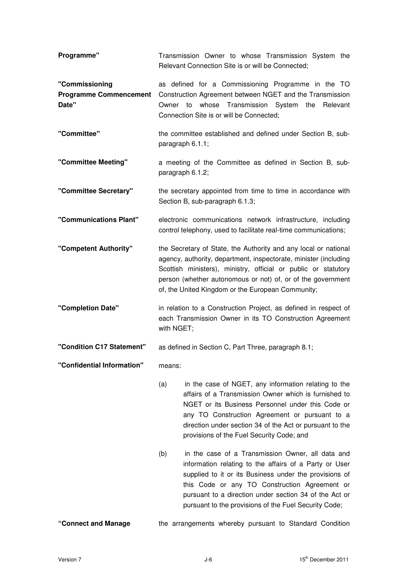| Programme"                                               | Transmission Owner to whose Transmission System the<br>Relevant Connection Site is or will be Connected;                                                                                                                                                                                                                                         |
|----------------------------------------------------------|--------------------------------------------------------------------------------------------------------------------------------------------------------------------------------------------------------------------------------------------------------------------------------------------------------------------------------------------------|
| "Commissioning<br><b>Programme Commencement</b><br>Date" | as defined for a Commissioning Programme in the TO<br>Construction Agreement between NGET and the Transmission<br>whose Transmission System the<br>to<br>Relevant<br>Owner<br>Connection Site is or will be Connected;                                                                                                                           |
| "Committee"                                              | the committee established and defined under Section B, sub-<br>paragraph 6.1.1;                                                                                                                                                                                                                                                                  |
| "Committee Meeting"                                      | a meeting of the Committee as defined in Section B, sub-<br>paragraph 6.1.2;                                                                                                                                                                                                                                                                     |
| "Committee Secretary"                                    | the secretary appointed from time to time in accordance with<br>Section B, sub-paragraph 6.1.3;                                                                                                                                                                                                                                                  |
| "Communications Plant"                                   | electronic communications network infrastructure, including<br>control telephony, used to facilitate real-time communications;                                                                                                                                                                                                                   |
| "Competent Authority"                                    | the Secretary of State, the Authority and any local or national<br>agency, authority, department, inspectorate, minister (including<br>Scottish ministers), ministry, official or public or statutory<br>person (whether autonomous or not) of, or of the government<br>of, the United Kingdom or the European Community;                        |
| "Completion Date"                                        | in relation to a Construction Project, as defined in respect of<br>each Transmission Owner in its TO Construction Agreement<br>with NGET;                                                                                                                                                                                                        |
| "Condition C17 Statement"                                | as defined in Section C, Part Three, paragraph 8.1;                                                                                                                                                                                                                                                                                              |
| "Confidential Information"                               | means:                                                                                                                                                                                                                                                                                                                                           |
|                                                          | (a)<br>in the case of NGET, any information relating to the<br>affairs of a Transmission Owner which is furnished to<br>NGET or its Business Personnel under this Code or<br>any TO Construction Agreement or pursuant to a<br>direction under section 34 of the Act or pursuant to the<br>provisions of the Fuel Security Code; and             |
|                                                          | (b)<br>in the case of a Transmission Owner, all data and<br>information relating to the affairs of a Party or User<br>supplied to it or its Business under the provisions of<br>this Code or any TO Construction Agreement or<br>pursuant to a direction under section 34 of the Act or<br>pursuant to the provisions of the Fuel Security Code; |
| "Connect and Manage                                      | the arrangements whereby pursuant to Standard Condition                                                                                                                                                                                                                                                                                          |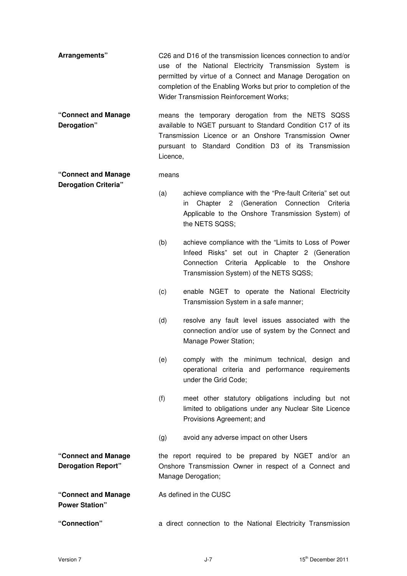- **Arrangements"** C26 and D16 of the transmission licences connection to and/or use of the National Electricity Transmission System is permitted by virtue of a Connect and Manage Derogation on completion of the Enabling Works but prior to completion of the Wider Transmission Reinforcement Works;
- **"Connect and Manage Derogation"**  means the temporary derogation from the NETS SQSS available to NGET pursuant to Standard Condition C17 of its Transmission Licence or an Onshore Transmission Owner pursuant to Standard Condition D3 of its Transmission Licence,

**"Connect and Manage Derogation Criteria"**  means

> (a) achieve compliance with the "Pre-fault Criteria" set out in Chapter 2 (Generation Connection Criteria Applicable to the Onshore Transmission System) of the NETS SQSS;

- (b) achieve compliance with the "Limits to Loss of Power Infeed Risks" set out in Chapter 2 (Generation Connection Criteria Applicable to the Onshore Transmission System) of the NETS SQSS;
- (c) enable NGET to operate the National Electricity Transmission System in a safe manner;
- (d) resolve any fault level issues associated with the connection and/or use of system by the Connect and Manage Power Station;
- (e) comply with the minimum technical, design and operational criteria and performance requirements under the Grid Code;
- (f) meet other statutory obligations including but not limited to obligations under any Nuclear Site Licence Provisions Agreement; and
- (g) avoid any adverse impact on other Users

**"Connect and Manage Derogation Report"**  the report required to be prepared by NGET and/or an Onshore Transmission Owner in respect of a Connect and Manage Derogation;

As defined in the CUSC

**"Connect and Manage Power Station"** 

**"Connection"** a direct connection to the National Electricity Transmission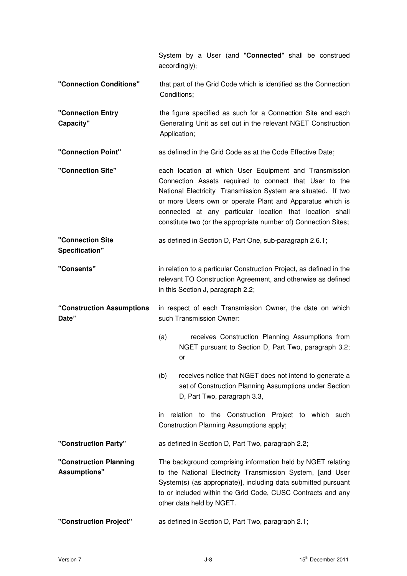|                                               | System by a User (and "Connected" shall be construed<br>accordingly);                                                                                                                                                                                                                                                                                                         |
|-----------------------------------------------|-------------------------------------------------------------------------------------------------------------------------------------------------------------------------------------------------------------------------------------------------------------------------------------------------------------------------------------------------------------------------------|
| "Connection Conditions"                       | that part of the Grid Code which is identified as the Connection<br>Conditions;                                                                                                                                                                                                                                                                                               |
| "Connection Entry<br>Capacity"                | the figure specified as such for a Connection Site and each<br>Generating Unit as set out in the relevant NGET Construction<br>Application;                                                                                                                                                                                                                                   |
| "Connection Point"                            | as defined in the Grid Code as at the Code Effective Date;                                                                                                                                                                                                                                                                                                                    |
| "Connection Site"                             | each location at which User Equipment and Transmission<br>Connection Assets required to connect that User to the<br>National Electricity Transmission System are situated. If two<br>or more Users own or operate Plant and Apparatus which is<br>connected at any particular location that location shall<br>constitute two (or the appropriate number of) Connection Sites; |
| "Connection Site<br>Specification"            | as defined in Section D, Part One, sub-paragraph 2.6.1;                                                                                                                                                                                                                                                                                                                       |
| "Consents"                                    | in relation to a particular Construction Project, as defined in the<br>relevant TO Construction Agreement, and otherwise as defined<br>in this Section J, paragraph 2.2;                                                                                                                                                                                                      |
| "Construction Assumptions<br>Date"            | in respect of each Transmission Owner, the date on which<br>such Transmission Owner:                                                                                                                                                                                                                                                                                          |
|                                               | (a)<br>receives Construction Planning Assumptions from<br>NGET pursuant to Section D, Part Two, paragraph 3.2;<br>or                                                                                                                                                                                                                                                          |
|                                               | (b)<br>receives notice that NGET does not intend to generate a<br>set of Construction Planning Assumptions under Section<br>D, Part Two, paragraph 3.3,                                                                                                                                                                                                                       |
|                                               | relation to the Construction Project to which such<br>in.<br>Construction Planning Assumptions apply;                                                                                                                                                                                                                                                                         |
| "Construction Party"                          | as defined in Section D, Part Two, paragraph 2.2;                                                                                                                                                                                                                                                                                                                             |
| "Construction Planning<br><b>Assumptions"</b> | The background comprising information held by NGET relating<br>to the National Electricity Transmission System, [and User<br>System(s) (as appropriate)], including data submitted pursuant<br>to or included within the Grid Code, CUSC Contracts and any<br>other data held by NGET.                                                                                        |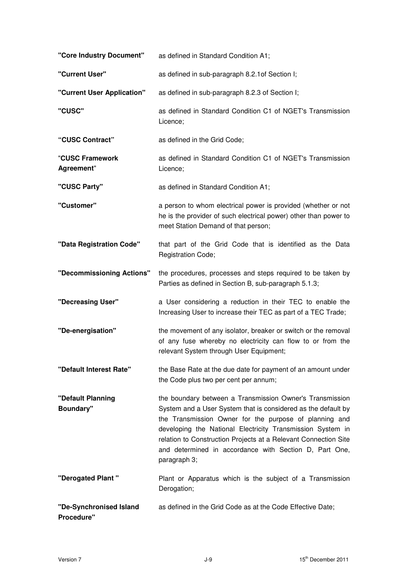| "Core Industry Document"              | as defined in Standard Condition A1;                                                                                                                                                                                                                                                                                                                                                           |
|---------------------------------------|------------------------------------------------------------------------------------------------------------------------------------------------------------------------------------------------------------------------------------------------------------------------------------------------------------------------------------------------------------------------------------------------|
| "Current User"                        | as defined in sub-paragraph 8.2.1 of Section I;                                                                                                                                                                                                                                                                                                                                                |
| "Current User Application"            | as defined in sub-paragraph 8.2.3 of Section I;                                                                                                                                                                                                                                                                                                                                                |
| "CUSC"                                | as defined in Standard Condition C1 of NGET's Transmission<br>Licence;                                                                                                                                                                                                                                                                                                                         |
| "CUSC Contract"                       | as defined in the Grid Code;                                                                                                                                                                                                                                                                                                                                                                   |
| "CUSC Framework<br>Agreement"         | as defined in Standard Condition C1 of NGET's Transmission<br>Licence;                                                                                                                                                                                                                                                                                                                         |
| "CUSC Party"                          | as defined in Standard Condition A1;                                                                                                                                                                                                                                                                                                                                                           |
| "Customer"                            | a person to whom electrical power is provided (whether or not<br>he is the provider of such electrical power) other than power to<br>meet Station Demand of that person;                                                                                                                                                                                                                       |
| "Data Registration Code"              | that part of the Grid Code that is identified as the Data<br>Registration Code;                                                                                                                                                                                                                                                                                                                |
| "Decommissioning Actions"             | the procedures, processes and steps required to be taken by<br>Parties as defined in Section B, sub-paragraph 5.1.3;                                                                                                                                                                                                                                                                           |
| "Decreasing User"                     | a User considering a reduction in their TEC to enable the<br>Increasing User to increase their TEC as part of a TEC Trade;                                                                                                                                                                                                                                                                     |
| "De-energisation"                     | the movement of any isolator, breaker or switch or the removal<br>of any fuse whereby no electricity can flow to or from the<br>relevant System through User Equipment;                                                                                                                                                                                                                        |
| "Default Interest Rate"               | the Base Rate at the due date for payment of an amount under<br>the Code plus two per cent per annum;                                                                                                                                                                                                                                                                                          |
| "Default Planning<br><b>Boundary"</b> | the boundary between a Transmission Owner's Transmission<br>System and a User System that is considered as the default by<br>the Transmission Owner for the purpose of planning and<br>developing the National Electricity Transmission System in<br>relation to Construction Projects at a Relevant Connection Site<br>and determined in accordance with Section D, Part One,<br>paragraph 3; |
| "Derogated Plant"                     | Plant or Apparatus which is the subject of a Transmission<br>Derogation;                                                                                                                                                                                                                                                                                                                       |
| "De-Synchronised Island<br>Procedure" | as defined in the Grid Code as at the Code Effective Date;                                                                                                                                                                                                                                                                                                                                     |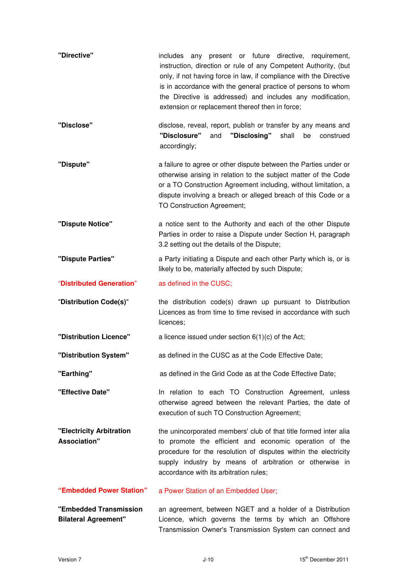| "Directive"                                           | includes any present or future directive, requirement,<br>instruction, direction or rule of any Competent Authority, (but<br>only, if not having force in law, if compliance with the Directive<br>is in accordance with the general practice of persons to whom<br>the Directive is addressed) and includes any modification,<br>extension or replacement thereof then in force; |
|-------------------------------------------------------|-----------------------------------------------------------------------------------------------------------------------------------------------------------------------------------------------------------------------------------------------------------------------------------------------------------------------------------------------------------------------------------|
| "Disclose"                                            | disclose, reveal, report, publish or transfer by any means and<br>"Disclosure"<br>"Disclosing"<br>shall<br>and<br>be<br>construed<br>accordingly;                                                                                                                                                                                                                                 |
| "Dispute"                                             | a failure to agree or other dispute between the Parties under or<br>otherwise arising in relation to the subject matter of the Code<br>or a TO Construction Agreement including, without limitation, a<br>dispute involving a breach or alleged breach of this Code or a<br>TO Construction Agreement;                                                                            |
| "Dispute Notice"                                      | a notice sent to the Authority and each of the other Dispute<br>Parties in order to raise a Dispute under Section H, paragraph<br>3.2 setting out the details of the Dispute;                                                                                                                                                                                                     |
| "Dispute Parties"                                     | a Party initiating a Dispute and each other Party which is, or is<br>likely to be, materially affected by such Dispute;                                                                                                                                                                                                                                                           |
| "Distributed Generation"                              | as defined in the CUSC;                                                                                                                                                                                                                                                                                                                                                           |
| "Distribution Code(s)"                                | the distribution code(s) drawn up pursuant to Distribution<br>Licences as from time to time revised in accordance with such<br>licences;                                                                                                                                                                                                                                          |
| "Distribution Licence"                                | a licence issued under section $6(1)(c)$ of the Act;                                                                                                                                                                                                                                                                                                                              |
| "Distribution System"                                 | as defined in the CUSC as at the Code Effective Date;                                                                                                                                                                                                                                                                                                                             |
| "Earthing"                                            | as defined in the Grid Code as at the Code Effective Date;                                                                                                                                                                                                                                                                                                                        |
| "Effective Date"                                      | In relation to each TO Construction Agreement, unless<br>otherwise agreed between the relevant Parties, the date of<br>execution of such TO Construction Agreement;                                                                                                                                                                                                               |
| "Electricity Arbitration<br><b>Association"</b>       | the unincorporated members' club of that title formed inter alia<br>to promote the efficient and economic operation of the<br>procedure for the resolution of disputes within the electricity<br>supply industry by means of arbitration or otherwise in<br>accordance with its arbitration rules;                                                                                |
| "Embedded Power Station"                              | a Power Station of an Embedded User;                                                                                                                                                                                                                                                                                                                                              |
| "Embedded Transmission<br><b>Bilateral Agreement"</b> | an agreement, between NGET and a holder of a Distribution<br>Licence, which governs the terms by which an Offshore<br>Transmission Owner's Transmission System can connect and                                                                                                                                                                                                    |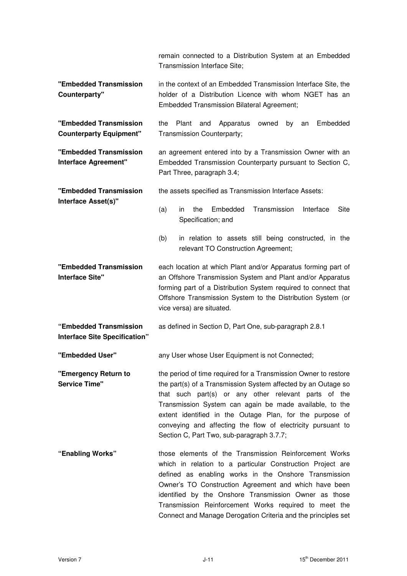|                                                          | remain connected to a Distribution System at an Embedded<br>Transmission Interface Site;                                                                                                                                                                                                                                                                                                                                    |
|----------------------------------------------------------|-----------------------------------------------------------------------------------------------------------------------------------------------------------------------------------------------------------------------------------------------------------------------------------------------------------------------------------------------------------------------------------------------------------------------------|
| "Embedded Transmission<br>Counterparty"                  | in the context of an Embedded Transmission Interface Site, the<br>holder of a Distribution Licence with whom NGET has an<br><b>Embedded Transmission Bilateral Agreement;</b>                                                                                                                                                                                                                                               |
| "Embedded Transmission<br><b>Counterparty Equipment"</b> | Plant<br>Apparatus<br>Embedded<br>the<br>and<br>owned<br>by<br>an<br>Transmission Counterparty;                                                                                                                                                                                                                                                                                                                             |
| "Embedded Transmission<br>Interface Agreement"           | an agreement entered into by a Transmission Owner with an<br>Embedded Transmission Counterparty pursuant to Section C,<br>Part Three, paragraph 3.4;                                                                                                                                                                                                                                                                        |
| "Embedded Transmission                                   | the assets specified as Transmission Interface Assets:                                                                                                                                                                                                                                                                                                                                                                      |
| Interface Asset(s)"                                      | Embedded<br>Transmission<br><b>Site</b><br>(a)<br>the<br>Interface<br>in<br>Specification; and                                                                                                                                                                                                                                                                                                                              |
|                                                          | in relation to assets still being constructed, in the<br>(b)<br>relevant TO Construction Agreement;                                                                                                                                                                                                                                                                                                                         |
| "Embedded Transmission<br><b>Interface Site"</b>         | each location at which Plant and/or Apparatus forming part of<br>an Offshore Transmission System and Plant and/or Apparatus<br>forming part of a Distribution System required to connect that<br>Offshore Transmission System to the Distribution System (or<br>vice versa) are situated.                                                                                                                                   |
| "Embedded Transmission<br>Interface Site Specification"  | as defined in Section D, Part One, sub-paragraph 2.8.1                                                                                                                                                                                                                                                                                                                                                                      |
| "Embedded User"                                          | any User whose User Equipment is not Connected;                                                                                                                                                                                                                                                                                                                                                                             |
| "Emergency Return to<br><b>Service Time"</b>             | the period of time required for a Transmission Owner to restore<br>the part(s) of a Transmission System affected by an Outage so<br>that such part(s) or any other relevant parts of the<br>Transmission System can again be made available, to the<br>extent identified in the Outage Plan, for the purpose of<br>conveying and affecting the flow of electricity pursuant to<br>Section C, Part Two, sub-paragraph 3.7.7; |
| "Enabling Works"                                         | those elements of the Transmission Reinforcement Works<br>which in relation to a particular Construction Project are<br>defined as enabling works in the Onshore Transmission<br>Owner's TO Construction Agreement and which have been<br>identified by the Onshore Transmission Owner as those<br>Transmission Reinforcement Works required to meet the<br>Connect and Manage Derogation Criteria and the principles set   |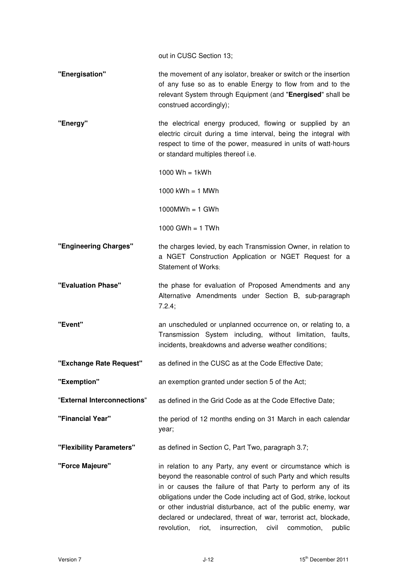out in CUSC Section 13;

| "Energisation" | the movement of any isolator, breaker or switch or the insertion |
|----------------|------------------------------------------------------------------|
|                | of any fuse so as to enable Energy to flow from and to the       |
|                | relevant System through Equipment (and "Energised" shall be      |
|                | construed accordingly);                                          |

**"Energy"** the electrical energy produced, flowing or supplied by an electric circuit during a time interval, being the integral with respect to time of the power, measured in units of watt-hours or standard multiples thereof i.e.

1000  $Wh = 1kWh$ 

1000 kWh  $= 1$  MWh

 $1000MWh = 1$  GWh

1000 GWh =  $1$  TWh

- **"Engineering Charges"** the charges levied, by each Transmission Owner, in relation to a NGET Construction Application or NGET Request for a Statement of Works:
- **"Evaluation Phase"** the phase for evaluation of Proposed Amendments and any Alternative Amendments under Section B, sub-paragraph 7.2.4;

**"Event"** an unscheduled or unplanned occurrence on, or relating to, a Transmission System including, without limitation, faults, incidents, breakdowns and adverse weather conditions;

- **"Exchange Rate Request"** as defined in the CUSC as at the Code Effective Date;
- **"Exemption"** an exemption granted under section 5 of the Act;
- "**External Interconnections**" as defined in the Grid Code as at the Code Effective Date;
- **"Financial Year"** the period of 12 months ending on 31 March in each calendar year;
- **"Flexibility Parameters"** as defined in Section C, Part Two, paragraph 3.7;
- **"Force Majeure"** in relation to any Party, any event or circumstance which is beyond the reasonable control of such Party and which results in or causes the failure of that Party to perform any of its obligations under the Code including act of God, strike, lockout or other industrial disturbance, act of the public enemy, war declared or undeclared, threat of war, terrorist act, blockade, revolution, riot, insurrection, civil commotion, public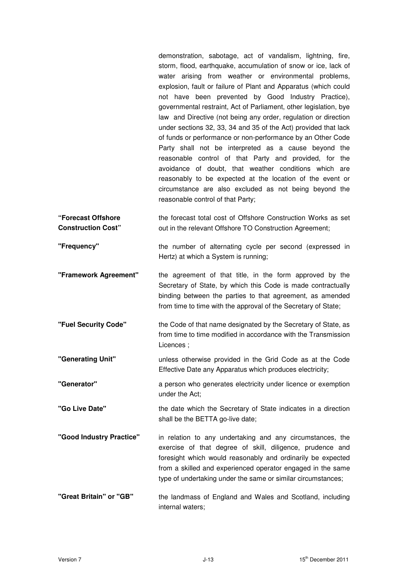demonstration, sabotage, act of vandalism, lightning, fire, storm, flood, earthquake, accumulation of snow or ice, lack of water arising from weather or environmental problems, explosion, fault or failure of Plant and Apparatus (which could not have been prevented by Good Industry Practice), governmental restraint, Act of Parliament, other legislation, bye law and Directive (not being any order, regulation or direction under sections 32, 33, 34 and 35 of the Act) provided that lack of funds or performance or non-performance by an Other Code Party shall not be interpreted as a cause beyond the reasonable control of that Party and provided, for the avoidance of doubt, that weather conditions which are reasonably to be expected at the location of the event or circumstance are also excluded as not being beyond the reasonable control of that Party;

**"Forecast Offshore Construction Cost"**  the forecast total cost of Offshore Construction Works as set out in the relevant Offshore TO Construction Agreement;

**"Frequency"** the number of alternating cycle per second (expressed in Hertz) at which a System is running;

**"Framework Agreement"** the agreement of that title, in the form approved by the Secretary of State, by which this Code is made contractually binding between the parties to that agreement, as amended from time to time with the approval of the Secretary of State;

- **"Fuel Security Code"** the Code of that name designated by the Secretary of State, as from time to time modified in accordance with the Transmission Licences ;
- **"Generating Unit"** unless otherwise provided in the Grid Code as at the Code Effective Date any Apparatus which produces electricity;
- **"Generator" a** person who generates electricity under licence or exemption under the Act;
- **"Go Live Date"** the date which the Secretary of State indicates in a direction shall be the BETTA go-live date;
- **"Good Industry Practice"** in relation to any undertaking and any circumstances, the exercise of that degree of skill, diligence, prudence and foresight which would reasonably and ordinarily be expected from a skilled and experienced operator engaged in the same type of undertaking under the same or similar circumstances;
- **"Great Britain" or "GB"** the landmass of England and Wales and Scotland, including internal waters;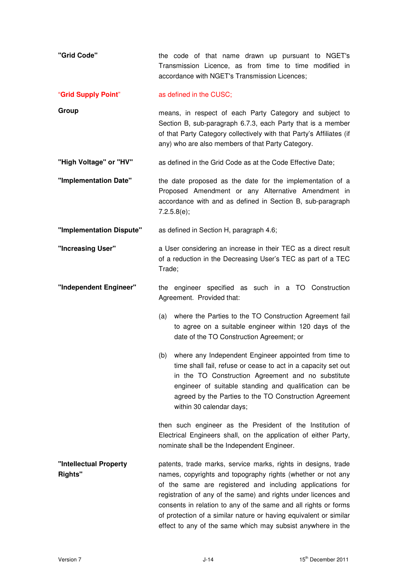| "Grid Code"                              | the code of that name drawn up pursuant to NGET's<br>Transmission Licence, as from time to time modified in<br>accordance with NGET's Transmission Licences;                                                                                                                                                                                                                                                                                                       |
|------------------------------------------|--------------------------------------------------------------------------------------------------------------------------------------------------------------------------------------------------------------------------------------------------------------------------------------------------------------------------------------------------------------------------------------------------------------------------------------------------------------------|
| "Grid Supply Point"                      | as defined in the CUSC;                                                                                                                                                                                                                                                                                                                                                                                                                                            |
| Group                                    | means, in respect of each Party Category and subject to<br>Section B, sub-paragraph 6.7.3, each Party that is a member<br>of that Party Category collectively with that Party's Affiliates (if<br>any) who are also members of that Party Category.                                                                                                                                                                                                                |
| "High Voltage" or "HV"                   | as defined in the Grid Code as at the Code Effective Date;                                                                                                                                                                                                                                                                                                                                                                                                         |
| "Implementation Date"                    | the date proposed as the date for the implementation of a<br>Proposed Amendment or any Alternative Amendment in<br>accordance with and as defined in Section B, sub-paragraph<br>7.2.5.8(e);                                                                                                                                                                                                                                                                       |
| "Implementation Dispute"                 | as defined in Section H, paragraph 4.6;                                                                                                                                                                                                                                                                                                                                                                                                                            |
| "Increasing User"                        | a User considering an increase in their TEC as a direct result<br>of a reduction in the Decreasing User's TEC as part of a TEC<br>Trade;                                                                                                                                                                                                                                                                                                                           |
| "Independent Engineer"                   | the engineer specified as such in a TO Construction<br>Agreement. Provided that:                                                                                                                                                                                                                                                                                                                                                                                   |
|                                          | where the Parties to the TO Construction Agreement fail<br>(a)<br>to agree on a suitable engineer within 120 days of the<br>date of the TO Construction Agreement; or                                                                                                                                                                                                                                                                                              |
|                                          | (b) where any Independent Engineer appointed from time to<br>time shall fail, refuse or cease to act in a capacity set out<br>in the TO Construction Agreement and no substitute<br>engineer of suitable standing and qualification can be<br>agreed by the Parties to the TO Construction Agreement<br>within 30 calendar days;                                                                                                                                   |
|                                          | then such engineer as the President of the Institution of<br>Electrical Engineers shall, on the application of either Party,<br>nominate shall be the Independent Engineer.                                                                                                                                                                                                                                                                                        |
| "Intellectual Property<br><b>Rights"</b> | patents, trade marks, service marks, rights in designs, trade<br>names, copyrights and topography rights (whether or not any<br>of the same are registered and including applications for<br>registration of any of the same) and rights under licences and<br>consents in relation to any of the same and all rights or forms<br>of protection of a similar nature or having equivalent or similar<br>effect to any of the same which may subsist anywhere in the |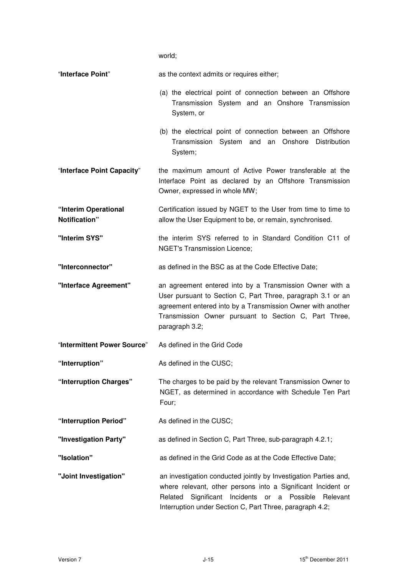world;

| "Interface Point"                     | as the context admits or requires either;                                                                                                                                                                                                                         |
|---------------------------------------|-------------------------------------------------------------------------------------------------------------------------------------------------------------------------------------------------------------------------------------------------------------------|
|                                       | (a) the electrical point of connection between an Offshore<br>Transmission System and an Onshore Transmission<br>System, or                                                                                                                                       |
|                                       | (b) the electrical point of connection between an Offshore<br>Transmission System and an Onshore Distribution<br>System;                                                                                                                                          |
| "Interface Point Capacity"            | the maximum amount of Active Power transferable at the<br>Interface Point as declared by an Offshore Transmission<br>Owner, expressed in whole MW;                                                                                                                |
| "Interim Operational<br>Notification" | Certification issued by NGET to the User from time to time to<br>allow the User Equipment to be, or remain, synchronised.                                                                                                                                         |
| "Interim SYS"                         | the interim SYS referred to in Standard Condition C11 of<br><b>NGET's Transmission Licence;</b>                                                                                                                                                                   |
| "Interconnector"                      | as defined in the BSC as at the Code Effective Date;                                                                                                                                                                                                              |
| "Interface Agreement"                 | an agreement entered into by a Transmission Owner with a<br>User pursuant to Section C, Part Three, paragraph 3.1 or an<br>agreement entered into by a Transmission Owner with another<br>Transmission Owner pursuant to Section C, Part Three,<br>paragraph 3.2; |
| "Intermittent Power Source"           | As defined in the Grid Code                                                                                                                                                                                                                                       |
| "Interruption"                        | As defined in the CUSC;                                                                                                                                                                                                                                           |
| "Interruption Charges"                | The charges to be paid by the relevant Transmission Owner to<br>NGET, as determined in accordance with Schedule Ten Part<br>Four;                                                                                                                                 |
| "Interruption Period"                 | As defined in the CUSC;                                                                                                                                                                                                                                           |
| "Investigation Party"                 | as defined in Section C, Part Three, sub-paragraph 4.2.1;                                                                                                                                                                                                         |
| "Isolation"                           | as defined in the Grid Code as at the Code Effective Date;                                                                                                                                                                                                        |
| "Joint Investigation"                 | an investigation conducted jointly by Investigation Parties and,<br>where relevant, other persons into a Significant Incident or<br>Related<br>Significant<br>Incidents or a Possible<br>Relevant<br>Interruption under Section C, Part Three, paragraph 4.2;     |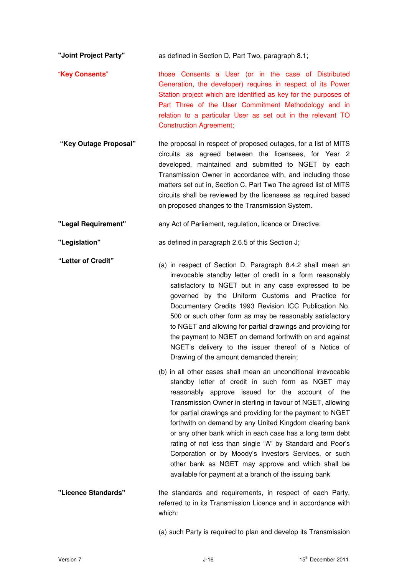**"Joint Project Party"** as defined in Section D, Part Two, paragraph 8.1;

- "**Key Consents**" those Consents a User (or in the case of Distributed Generation, the developer) requires in respect of its Power Station project which are identified as key for the purposes of Part Three of the User Commitment Methodology and in relation to a particular User as set out in the relevant TO Construction Agreement;
- **"Key Outage Proposal"** the proposal in respect of proposed outages, for a list of MITS circuits as agreed between the licensees, for Year 2 developed, maintained and submitted to NGET by each Transmission Owner in accordance with, and including those matters set out in, Section C, Part Two The agreed list of MITS circuits shall be reviewed by the licensees as required based on proposed changes to the Transmission System.
- **"Legal Requirement"** any Act of Parliament, regulation, licence or Directive;

**"Legislation"** as defined in paragraph 2.6.5 of this Section J;

- **"Letter of Credit"** (a) in respect of Section D, Paragraph 8.4.2 shall mean an irrevocable standby letter of credit in a form reasonably satisfactory to NGET but in any case expressed to be governed by the Uniform Customs and Practice for Documentary Credits 1993 Revision ICC Publication No. 500 or such other form as may be reasonably satisfactory to NGET and allowing for partial drawings and providing for the payment to NGET on demand forthwith on and against NGET's delivery to the issuer thereof of a Notice of Drawing of the amount demanded therein;
	- (b) in all other cases shall mean an unconditional irrevocable standby letter of credit in such form as NGET may reasonably approve issued for the account of the Transmission Owner in sterling in favour of NGET, allowing for partial drawings and providing for the payment to NGET forthwith on demand by any United Kingdom clearing bank or any other bank which in each case has a long term debt rating of not less than single "A" by Standard and Poor's Corporation or by Moody's Investors Services, or such other bank as NGET may approve and which shall be available for payment at a branch of the issuing bank
- **"Licence Standards"** the standards and requirements, in respect of each Party, referred to in its Transmission Licence and in accordance with which:

(a) such Party is required to plan and develop its Transmission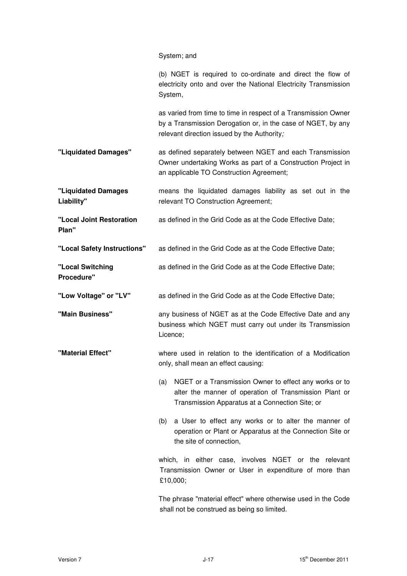# System; and

|                                   | (b) NGET is required to co-ordinate and direct the flow of<br>electricity onto and over the National Electricity Transmission<br>System,                                      |
|-----------------------------------|-------------------------------------------------------------------------------------------------------------------------------------------------------------------------------|
|                                   | as varied from time to time in respect of a Transmission Owner<br>by a Transmission Derogation or, in the case of NGET, by any<br>relevant direction issued by the Authority; |
| "Liquidated Damages"              | as defined separately between NGET and each Transmission<br>Owner undertaking Works as part of a Construction Project in<br>an applicable TO Construction Agreement;          |
| "Liquidated Damages<br>Liability" | means the liquidated damages liability as set out in the<br>relevant TO Construction Agreement;                                                                               |
| "Local Joint Restoration<br>Plan" | as defined in the Grid Code as at the Code Effective Date;                                                                                                                    |
| "Local Safety Instructions"       | as defined in the Grid Code as at the Code Effective Date;                                                                                                                    |
| "Local Switching<br>Procedure"    | as defined in the Grid Code as at the Code Effective Date;                                                                                                                    |
| "Low Voltage" or "LV"             | as defined in the Grid Code as at the Code Effective Date;                                                                                                                    |
| "Main Business"                   | any business of NGET as at the Code Effective Date and any<br>business which NGET must carry out under its Transmission<br>Licence;                                           |
| "Material Effect"                 | where used in relation to the identification of a Modification<br>only, shall mean an effect causing:                                                                         |
|                                   | NGET or a Transmission Owner to effect any works or to<br>(a)<br>alter the manner of operation of Transmission Plant or<br>Transmission Apparatus at a Connection Site; or    |
|                                   | a User to effect any works or to alter the manner of<br>(b)<br>operation or Plant or Apparatus at the Connection Site or<br>the site of connection,                           |
|                                   | which, in either case, involves NGET or the relevant<br>Transmission Owner or User in expenditure of more than<br>£10,000;                                                    |

The phrase "material effect" where otherwise used in the Code shall not be construed as being so limited.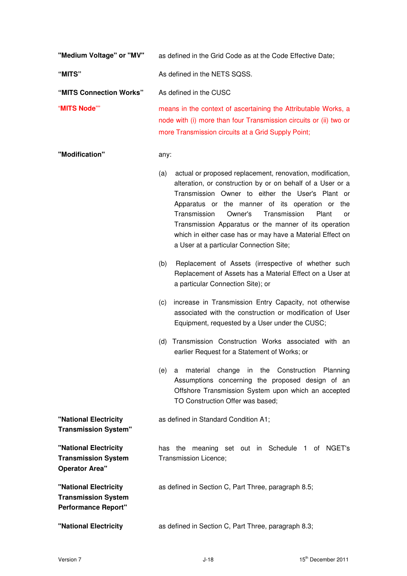| "Medium Voltage" or "MV"                                                          | as defined in the Grid Code as at the Code Effective Date;                                                                                                                                                                                                                                                                                                                                                                                                       |
|-----------------------------------------------------------------------------------|------------------------------------------------------------------------------------------------------------------------------------------------------------------------------------------------------------------------------------------------------------------------------------------------------------------------------------------------------------------------------------------------------------------------------------------------------------------|
| "MITS"                                                                            | As defined in the NETS SQSS.                                                                                                                                                                                                                                                                                                                                                                                                                                     |
| "MITS Connection Works"                                                           | As defined in the CUSC                                                                                                                                                                                                                                                                                                                                                                                                                                           |
| "MITS Node""                                                                      | means in the context of ascertaining the Attributable Works, a<br>node with (i) more than four Transmission circuits or (ii) two or<br>more Transmission circuits at a Grid Supply Point;                                                                                                                                                                                                                                                                        |
| "Modification"                                                                    | any:                                                                                                                                                                                                                                                                                                                                                                                                                                                             |
|                                                                                   | actual or proposed replacement, renovation, modification,<br>(a)<br>alteration, or construction by or on behalf of a User or a<br>Transmission Owner to either the User's Plant or<br>Apparatus or the manner of its operation or the<br>Transmission<br>Owner's<br>Transmission<br>Plant<br>or<br>Transmission Apparatus or the manner of its operation<br>which in either case has or may have a Material Effect on<br>a User at a particular Connection Site; |
|                                                                                   | Replacement of Assets (irrespective of whether such<br>(b)<br>Replacement of Assets has a Material Effect on a User at<br>a particular Connection Site); or                                                                                                                                                                                                                                                                                                      |
|                                                                                   | increase in Transmission Entry Capacity, not otherwise<br>(c)<br>associated with the construction or modification of User<br>Equipment, requested by a User under the CUSC;                                                                                                                                                                                                                                                                                      |
|                                                                                   | Transmission Construction Works associated with an<br>(d)<br>earlier Request for a Statement of Works; or                                                                                                                                                                                                                                                                                                                                                        |
|                                                                                   | material change in the Construction Planning<br>(e)<br>a<br>Assumptions concerning the proposed design of an<br>Offshore Transmission System upon which an accepted<br>TO Construction Offer was based;                                                                                                                                                                                                                                                          |
| "National Electricity<br><b>Transmission System"</b>                              | as defined in Standard Condition A1;                                                                                                                                                                                                                                                                                                                                                                                                                             |
| "National Electricity<br><b>Transmission System</b><br><b>Operator Area"</b>      | meaning set out in Schedule 1<br>of NGET's<br>has<br>the<br>Transmission Licence;                                                                                                                                                                                                                                                                                                                                                                                |
| "National Electricity<br><b>Transmission System</b><br><b>Performance Report"</b> | as defined in Section C, Part Three, paragraph 8.5;                                                                                                                                                                                                                                                                                                                                                                                                              |
| "National Electricity                                                             | as defined in Section C, Part Three, paragraph 8.3;                                                                                                                                                                                                                                                                                                                                                                                                              |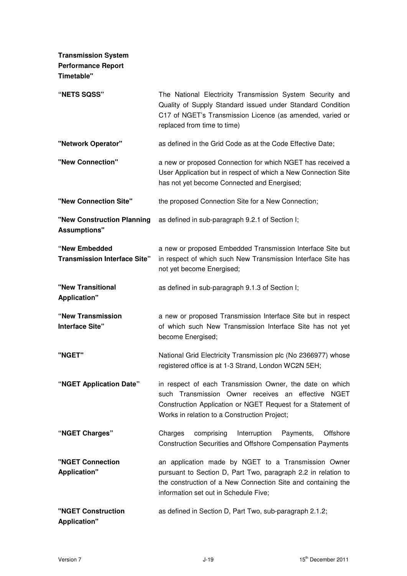| <b>Transmission System</b><br><b>Performance Report</b><br><b>Timetable"</b> |                                                                                                                                                                                                                               |
|------------------------------------------------------------------------------|-------------------------------------------------------------------------------------------------------------------------------------------------------------------------------------------------------------------------------|
| "NETS SQSS"                                                                  | The National Electricity Transmission System Security and<br>Quality of Supply Standard issued under Standard Condition<br>C17 of NGET's Transmission Licence (as amended, varied or<br>replaced from time to time)           |
| "Network Operator"                                                           | as defined in the Grid Code as at the Code Effective Date;                                                                                                                                                                    |
| "New Connection"                                                             | a new or proposed Connection for which NGET has received a<br>User Application but in respect of which a New Connection Site<br>has not yet become Connected and Energised;                                                   |
| "New Connection Site"                                                        | the proposed Connection Site for a New Connection;                                                                                                                                                                            |
| "New Construction Planning<br><b>Assumptions"</b>                            | as defined in sub-paragraph 9.2.1 of Section I;                                                                                                                                                                               |
| "New Embedded<br><b>Transmission Interface Site"</b>                         | a new or proposed Embedded Transmission Interface Site but<br>in respect of which such New Transmission Interface Site has<br>not yet become Energised;                                                                       |
| "New Transitional<br><b>Application"</b>                                     | as defined in sub-paragraph 9.1.3 of Section I;                                                                                                                                                                               |
| "New Transmission<br>Interface Site"                                         | a new or proposed Transmission Interface Site but in respect<br>of which such New Transmission Interface Site has not yet<br>become Energised;                                                                                |
| "NGET"                                                                       | National Grid Electricity Transmission plc (No 2366977) whose<br>registered office is at 1-3 Strand, London WC2N 5EH;                                                                                                         |
| "NGET Application Date"                                                      | in respect of each Transmission Owner, the date on which<br>such Transmission Owner receives an effective NGET<br>Construction Application or NGET Request for a Statement of<br>Works in relation to a Construction Project; |
| "NGET Charges"                                                               | comprising<br>Charges<br>Interruption<br>Payments,<br>Offshore<br><b>Construction Securities and Offshore Compensation Payments</b>                                                                                           |
| "NGET Connection<br><b>Application"</b>                                      | an application made by NGET to a Transmission Owner<br>pursuant to Section D, Part Two, paragraph 2.2 in relation to<br>the construction of a New Connection Site and containing the<br>information set out in Schedule Five; |
| "NGET Construction<br><b>Application"</b>                                    | as defined in Section D, Part Two, sub-paragraph 2.1.2;                                                                                                                                                                       |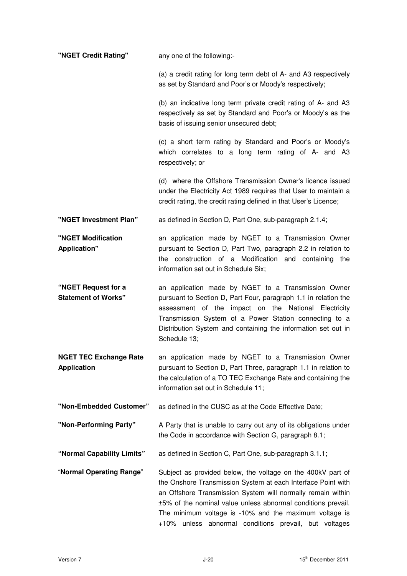| "NGET Credit Rating"                                | any one of the following:-                                                                                                                                                                                                                                                                                                                                                    |
|-----------------------------------------------------|-------------------------------------------------------------------------------------------------------------------------------------------------------------------------------------------------------------------------------------------------------------------------------------------------------------------------------------------------------------------------------|
|                                                     | (a) a credit rating for long term debt of A- and A3 respectively<br>as set by Standard and Poor's or Moody's respectively;                                                                                                                                                                                                                                                    |
|                                                     | (b) an indicative long term private credit rating of A- and A3<br>respectively as set by Standard and Poor's or Moody's as the<br>basis of issuing senior unsecured debt;                                                                                                                                                                                                     |
|                                                     | (c) a short term rating by Standard and Poor's or Moody's<br>which correlates to a long term rating of A- and A3<br>respectively; or                                                                                                                                                                                                                                          |
|                                                     | (d) where the Offshore Transmission Owner's licence issued<br>under the Electricity Act 1989 requires that User to maintain a<br>credit rating, the credit rating defined in that User's Licence;                                                                                                                                                                             |
| "NGET Investment Plan"                              | as defined in Section D, Part One, sub-paragraph 2.1.4;                                                                                                                                                                                                                                                                                                                       |
| "NGET Modification<br><b>Application"</b>           | an application made by NGET to a Transmission Owner<br>pursuant to Section D, Part Two, paragraph 2.2 in relation to<br>the construction of a Modification and containing<br>the<br>information set out in Schedule Six;                                                                                                                                                      |
| "NGET Request for a<br><b>Statement of Works"</b>   | an application made by NGET to a Transmission Owner<br>pursuant to Section D, Part Four, paragraph 1.1 in relation the<br>assessment of the impact on the National Electricity<br>Transmission System of a Power Station connecting to a<br>Distribution System and containing the information set out in<br>Schedule 13;                                                     |
| <b>NGET TEC Exchange Rate</b><br><b>Application</b> | an application made by NGET to a Transmission Owner<br>pursuant to Section D, Part Three, paragraph 1.1 in relation to<br>the calculation of a TO TEC Exchange Rate and containing the<br>information set out in Schedule 11;                                                                                                                                                 |
| "Non-Embedded Customer"                             | as defined in the CUSC as at the Code Effective Date;                                                                                                                                                                                                                                                                                                                         |
| "Non-Performing Party"                              | A Party that is unable to carry out any of its obligations under<br>the Code in accordance with Section G, paragraph 8.1;                                                                                                                                                                                                                                                     |
| "Normal Capability Limits"                          | as defined in Section C, Part One, sub-paragraph 3.1.1;                                                                                                                                                                                                                                                                                                                       |
| "Normal Operating Range"                            | Subject as provided below, the voltage on the 400kV part of<br>the Onshore Transmission System at each Interface Point with<br>an Offshore Transmission System will normally remain within<br>±5% of the nominal value unless abnormal conditions prevail.<br>The minimum voltage is -10% and the maximum voltage is<br>+10% unless abnormal conditions prevail, but voltages |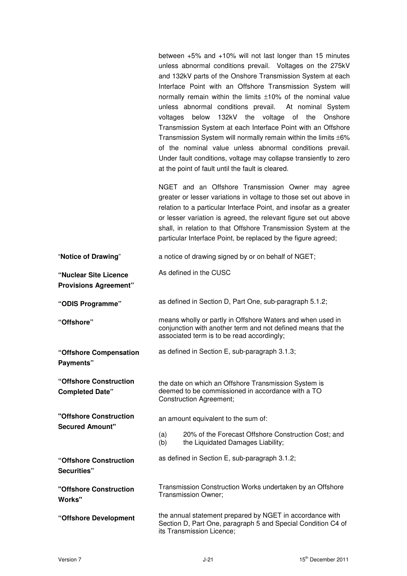between +5% and +10% will not last longer than 15 minutes unless abnormal conditions prevail. Voltages on the 275kV and 132kV parts of the Onshore Transmission System at each Interface Point with an Offshore Transmission System will normally remain within the limits ±10% of the nominal value unless abnormal conditions prevail. At nominal System voltages below 132kV the voltage of the Onshore Transmission System at each Interface Point with an Offshore Transmission System will normally remain within the limits ±6% of the nominal value unless abnormal conditions prevail. Under fault conditions, voltage may collapse transiently to zero at the point of fault until the fault is cleared.

NGET and an Offshore Transmission Owner may agree greater or lesser variations in voltage to those set out above in relation to a particular Interface Point, and insofar as a greater or lesser variation is agreed, the relevant figure set out above shall, in relation to that Offshore Transmission System at the particular Interface Point, be replaced by the figure agreed;

| "Notice of Drawing"                                   |            | a notice of drawing signed by or on behalf of NGET;                                                                                                                      |
|-------------------------------------------------------|------------|--------------------------------------------------------------------------------------------------------------------------------------------------------------------------|
| "Nuclear Site Licence<br><b>Provisions Agreement"</b> |            | As defined in the CUSC                                                                                                                                                   |
| "ODIS Programme"                                      |            | as defined in Section D, Part One, sub-paragraph 5.1.2;                                                                                                                  |
| "Offshore"                                            |            | means wholly or partly in Offshore Waters and when used in<br>conjunction with another term and not defined means that the<br>associated term is to be read accordingly; |
| "Offshore Compensation<br>Payments"                   |            | as defined in Section E, sub-paragraph 3.1.3;                                                                                                                            |
| "Offshore Construction<br><b>Completed Date"</b>      |            | the date on which an Offshore Transmission System is<br>deemed to be commissioned in accordance with a TO<br><b>Construction Agreement;</b>                              |
| "Offshore Construction<br><b>Secured Amount"</b>      |            | an amount equivalent to the sum of:                                                                                                                                      |
|                                                       | (a)<br>(b) | 20% of the Forecast Offshore Construction Cost; and<br>the Liquidated Damages Liability;                                                                                 |
| "Offshore Construction<br>Securities"                 |            | as defined in Section E, sub-paragraph 3.1.2;                                                                                                                            |
| "Offshore Construction<br>Works"                      |            | Transmission Construction Works undertaken by an Offshore<br>Transmission Owner;                                                                                         |
| "Offshore Development                                 |            | the annual statement prepared by NGET in accordance with<br>Section D, Part One, paragraph 5 and Special Condition C4 of<br>its Transmission Licence;                    |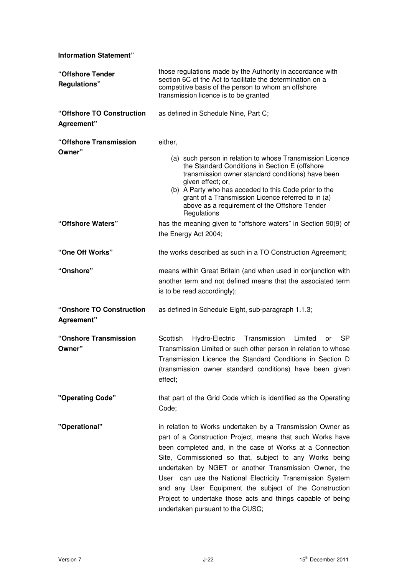**Information Statement"** 

| "Offshore Tender<br><b>Regulations"</b> | those regulations made by the Authority in accordance with<br>section 6C of the Act to facilitate the determination on a<br>competitive basis of the person to whom an offshore<br>transmission licence is to be granted                                                                                                                                                                                                                                                                                                          |
|-----------------------------------------|-----------------------------------------------------------------------------------------------------------------------------------------------------------------------------------------------------------------------------------------------------------------------------------------------------------------------------------------------------------------------------------------------------------------------------------------------------------------------------------------------------------------------------------|
| "Offshore TO Construction<br>Agreement" | as defined in Schedule Nine, Part C;                                                                                                                                                                                                                                                                                                                                                                                                                                                                                              |
| "Offshore Transmission<br>Owner"        | either,<br>(a) such person in relation to whose Transmission Licence<br>the Standard Conditions in Section E (offshore<br>transmission owner standard conditions) have been<br>given effect; or,<br>(b) A Party who has acceded to this Code prior to the<br>grant of a Transmission Licence referred to in (a)<br>above as a requirement of the Offshore Tender<br>Regulations                                                                                                                                                   |
| "Offshore Waters"                       | has the meaning given to "offshore waters" in Section 90(9) of<br>the Energy Act 2004;                                                                                                                                                                                                                                                                                                                                                                                                                                            |
| "One Off Works"                         | the works described as such in a TO Construction Agreement;                                                                                                                                                                                                                                                                                                                                                                                                                                                                       |
| "Onshore"                               | means within Great Britain (and when used in conjunction with<br>another term and not defined means that the associated term<br>is to be read accordingly);                                                                                                                                                                                                                                                                                                                                                                       |
| "Onshore TO Construction<br>Agreement"  | as defined in Schedule Eight, sub-paragraph 1.1.3;                                                                                                                                                                                                                                                                                                                                                                                                                                                                                |
| "Onshore Transmission<br>Owner"         | Scottish<br>Hydro-Electric<br>Transmission<br>Limited<br>SP<br>or<br>Transmission Limited or such other person in relation to whose<br>Transmission Licence the Standard Conditions in Section D<br>(transmission owner standard conditions) have been given<br>effect;                                                                                                                                                                                                                                                           |
| "Operating Code"                        | that part of the Grid Code which is identified as the Operating<br>Code;                                                                                                                                                                                                                                                                                                                                                                                                                                                          |
| "Operational"                           | in relation to Works undertaken by a Transmission Owner as<br>part of a Construction Project, means that such Works have<br>been completed and, in the case of Works at a Connection<br>Site, Commissioned so that, subject to any Works being<br>undertaken by NGET or another Transmission Owner, the<br>User can use the National Electricity Transmission System<br>and any User Equipment the subject of the Construction<br>Project to undertake those acts and things capable of being<br>undertaken pursuant to the CUSC; |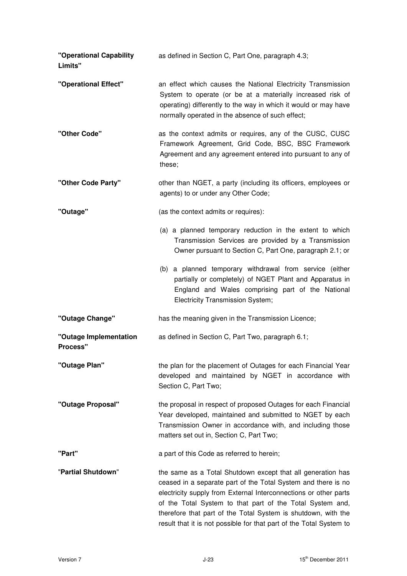| "Operational Capability<br>Limits"        | as defined in Section C, Part One, paragraph 4.3;                                                                                                                                                                                                                                                                                                                                                     |
|-------------------------------------------|-------------------------------------------------------------------------------------------------------------------------------------------------------------------------------------------------------------------------------------------------------------------------------------------------------------------------------------------------------------------------------------------------------|
| "Operational Effect"                      | an effect which causes the National Electricity Transmission<br>System to operate (or be at a materially increased risk of<br>operating) differently to the way in which it would or may have<br>normally operated in the absence of such effect;                                                                                                                                                     |
| "Other Code"                              | as the context admits or requires, any of the CUSC, CUSC<br>Framework Agreement, Grid Code, BSC, BSC Framework<br>Agreement and any agreement entered into pursuant to any of<br>these;                                                                                                                                                                                                               |
| "Other Code Party"                        | other than NGET, a party (including its officers, employees or<br>agents) to or under any Other Code;                                                                                                                                                                                                                                                                                                 |
| "Outage"                                  | (as the context admits or requires):                                                                                                                                                                                                                                                                                                                                                                  |
|                                           | (a) a planned temporary reduction in the extent to which<br>Transmission Services are provided by a Transmission<br>Owner pursuant to Section C, Part One, paragraph 2.1; or                                                                                                                                                                                                                          |
|                                           | (b) a planned temporary withdrawal from service (either<br>partially or completely) of NGET Plant and Apparatus in<br>England and Wales comprising part of the National<br>Electricity Transmission System;                                                                                                                                                                                           |
| "Outage Change"                           | has the meaning given in the Transmission Licence;                                                                                                                                                                                                                                                                                                                                                    |
| "Outage Implementation<br><b>Process"</b> | as defined in Section C, Part Two, paragraph 6.1;                                                                                                                                                                                                                                                                                                                                                     |
| "Outage Plan"                             | the plan for the placement of Outages for each Financial Year<br>developed and maintained by NGET in accordance with<br>Section C, Part Two;                                                                                                                                                                                                                                                          |
| "Outage Proposal"                         | the proposal in respect of proposed Outages for each Financial<br>Year developed, maintained and submitted to NGET by each<br>Transmission Owner in accordance with, and including those<br>matters set out in, Section C, Part Two;                                                                                                                                                                  |
| "Part"                                    | a part of this Code as referred to herein;                                                                                                                                                                                                                                                                                                                                                            |
| "Partial Shutdown"                        | the same as a Total Shutdown except that all generation has<br>ceased in a separate part of the Total System and there is no<br>electricity supply from External Interconnections or other parts<br>of the Total System to that part of the Total System and,<br>therefore that part of the Total System is shutdown, with the<br>result that it is not possible for that part of the Total System to |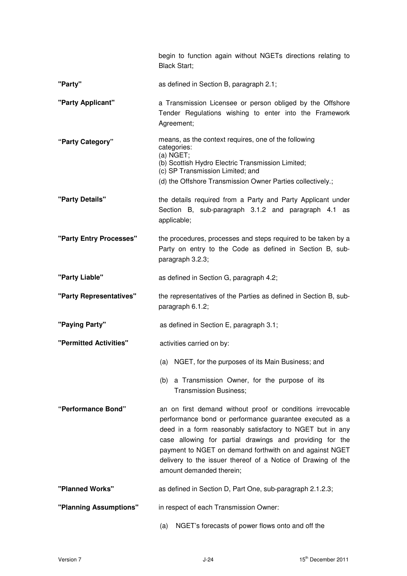|                         | begin to function again without NGETs directions relating to<br><b>Black Start;</b>                                                                                                                                                                                                                                                                                                                   |
|-------------------------|-------------------------------------------------------------------------------------------------------------------------------------------------------------------------------------------------------------------------------------------------------------------------------------------------------------------------------------------------------------------------------------------------------|
| "Party"                 | as defined in Section B, paragraph 2.1;                                                                                                                                                                                                                                                                                                                                                               |
| "Party Applicant"       | a Transmission Licensee or person obliged by the Offshore<br>Tender Regulations wishing to enter into the Framework<br>Agreement;                                                                                                                                                                                                                                                                     |
| "Party Category"        | means, as the context requires, one of the following<br>categories:<br>(a) NGET;<br>(b) Scottish Hydro Electric Transmission Limited;<br>(c) SP Transmission Limited; and<br>(d) the Offshore Transmission Owner Parties collectively.;                                                                                                                                                               |
| "Party Details"         | the details required from a Party and Party Applicant under<br>Section B, sub-paragraph 3.1.2 and paragraph 4.1 as<br>applicable;                                                                                                                                                                                                                                                                     |
| "Party Entry Processes" | the procedures, processes and steps required to be taken by a<br>Party on entry to the Code as defined in Section B, sub-<br>paragraph 3.2.3;                                                                                                                                                                                                                                                         |
| "Party Liable"          | as defined in Section G, paragraph 4.2;                                                                                                                                                                                                                                                                                                                                                               |
| "Party Representatives" | the representatives of the Parties as defined in Section B, sub-<br>paragraph 6.1.2;                                                                                                                                                                                                                                                                                                                  |
| "Paying Party"          | as defined in Section E, paragraph 3.1;                                                                                                                                                                                                                                                                                                                                                               |
| "Permitted Activities"  | activities carried on by:                                                                                                                                                                                                                                                                                                                                                                             |
|                         | (a) NGET, for the purposes of its Main Business; and                                                                                                                                                                                                                                                                                                                                                  |
|                         | a Transmission Owner, for the purpose of its<br>(b)<br><b>Transmission Business;</b>                                                                                                                                                                                                                                                                                                                  |
| "Performance Bond"      | an on first demand without proof or conditions irrevocable<br>performance bond or performance guarantee executed as a<br>deed in a form reasonably satisfactory to NGET but in any<br>case allowing for partial drawings and providing for the<br>payment to NGET on demand forthwith on and against NGET<br>delivery to the issuer thereof of a Notice of Drawing of the<br>amount demanded therein; |
| "Planned Works"         | as defined in Section D, Part One, sub-paragraph 2.1.2.3;                                                                                                                                                                                                                                                                                                                                             |
| "Planning Assumptions"  | in respect of each Transmission Owner:                                                                                                                                                                                                                                                                                                                                                                |
|                         | NGET's forecasts of power flows onto and off the<br>(a)                                                                                                                                                                                                                                                                                                                                               |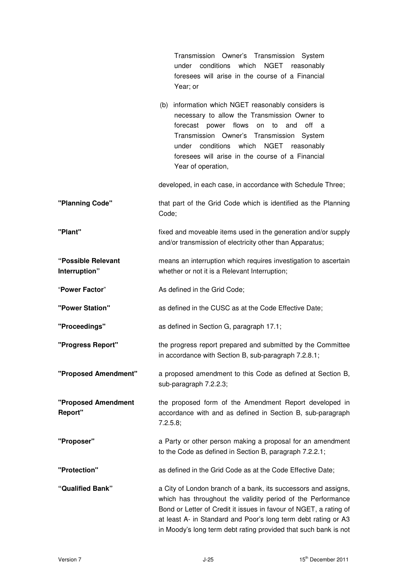|                                     | Transmission Owner's Transmission System<br>under conditions<br>which<br>NGET reasonably<br>foresees will arise in the course of a Financial<br>Year; or                                                                                                                                                                                |
|-------------------------------------|-----------------------------------------------------------------------------------------------------------------------------------------------------------------------------------------------------------------------------------------------------------------------------------------------------------------------------------------|
|                                     | (b) information which NGET reasonably considers is<br>necessary to allow the Transmission Owner to<br>power flows<br>off<br>forecast<br>to<br>and<br>on<br>a<br>Transmission Owner's Transmission<br>System<br>under conditions which<br>NGET reasonably<br>foresees will arise in the course of a Financial<br>Year of operation,      |
|                                     | developed, in each case, in accordance with Schedule Three;                                                                                                                                                                                                                                                                             |
| "Planning Code"                     | that part of the Grid Code which is identified as the Planning<br>Code;                                                                                                                                                                                                                                                                 |
| "Plant"                             | fixed and moveable items used in the generation and/or supply<br>and/or transmission of electricity other than Apparatus;                                                                                                                                                                                                               |
| "Possible Relevant<br>Interruption" | means an interruption which requires investigation to ascertain<br>whether or not it is a Relevant Interruption;                                                                                                                                                                                                                        |
| "Power Factor"                      | As defined in the Grid Code;                                                                                                                                                                                                                                                                                                            |
| "Power Station"                     | as defined in the CUSC as at the Code Effective Date;                                                                                                                                                                                                                                                                                   |
| "Proceedings"                       | as defined in Section G, paragraph 17.1;                                                                                                                                                                                                                                                                                                |
| "Progress Report"                   | the progress report prepared and submitted by the Committee<br>in accordance with Section B, sub-paragraph 7.2.8.1;                                                                                                                                                                                                                     |
| "Proposed Amendment"                | a proposed amendment to this Code as defined at Section B,<br>sub-paragraph 7.2.2.3;                                                                                                                                                                                                                                                    |
| "Proposed Amendment<br>Report"      | the proposed form of the Amendment Report developed in<br>accordance with and as defined in Section B, sub-paragraph<br>7.2.5.8;                                                                                                                                                                                                        |
| "Proposer"                          | a Party or other person making a proposal for an amendment<br>to the Code as defined in Section B, paragraph 7.2.2.1;                                                                                                                                                                                                                   |
| "Protection"                        | as defined in the Grid Code as at the Code Effective Date;                                                                                                                                                                                                                                                                              |
| "Qualified Bank"                    | a City of London branch of a bank, its successors and assigns,<br>which has throughout the validity period of the Performance<br>Bond or Letter of Credit it issues in favour of NGET, a rating of<br>at least A- in Standard and Poor's long term debt rating or A3<br>in Moody's long term debt rating provided that such bank is not |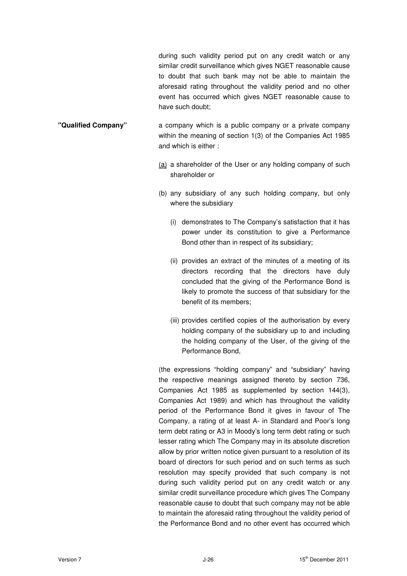during such validity period put on any credit watch or any similar credit surveillance which gives NGET reasonable cause to doubt that such bank may not be able to maintain the aforesaid rating throughout the validity period and no other event has occurred which gives NGET reasonable cause to have such doubt;

- **"Qualified Company"** a company which is a public company or a private company within the meaning of section 1(3) of the Companies Act 1985 and which is either :
	- (a) a shareholder of the User or any holding company of such shareholder or
	- (b) any subsidiary of any such holding company, but only where the subsidiary
		- (i) demonstrates to The Company's satisfaction that it has power under its constitution to give a Performance Bond other than in respect of its subsidiary;
		- (ii) provides an extract of the minutes of a meeting of its directors recording that the directors have duly concluded that the giving of the Performance Bond is likely to promote the success of that subsidiary for the benefit of its members;
		- (iii) provides certified copies of the authorisation by every holding company of the subsidiary up to and including the holding company of the User, of the giving of the Performance Bond,

(the expressions "holding company" and "subsidiary" having the respective meanings assigned thereto by section 736, Companies Act 1985 as supplemented by section 144(3), Companies Act 1989) and which has throughout the validity period of the Performance Bond it gives in favour of The Company, a rating of at least A- in Standard and Poor's long term debt rating or A3 in Moody's long term debt rating or such lesser rating which The Company may in its absolute discretion allow by prior written notice given pursuant to a resolution of its board of directors for such period and on such terms as such resolution may specify provided that such company is not during such validity period put on any credit watch or any similar credit surveillance procedure which gives The Company reasonable cause to doubt that such company may not be able to maintain the aforesaid rating throughout the validity period of the Performance Bond and no other event has occurred which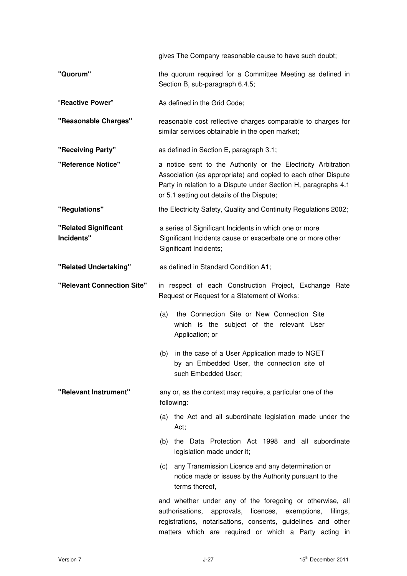|                                    | gives The Company reasonable cause to have such doubt;                                                                                                                                                                                         |  |
|------------------------------------|------------------------------------------------------------------------------------------------------------------------------------------------------------------------------------------------------------------------------------------------|--|
| "Quorum"                           | the quorum required for a Committee Meeting as defined in<br>Section B, sub-paragraph 6.4.5;                                                                                                                                                   |  |
| "Reactive Power"                   | As defined in the Grid Code;                                                                                                                                                                                                                   |  |
| "Reasonable Charges"               | reasonable cost reflective charges comparable to charges for<br>similar services obtainable in the open market;                                                                                                                                |  |
| "Receiving Party"                  | as defined in Section E, paragraph 3.1;                                                                                                                                                                                                        |  |
| "Reference Notice"                 | a notice sent to the Authority or the Electricity Arbitration<br>Association (as appropriate) and copied to each other Dispute<br>Party in relation to a Dispute under Section H, paragraphs 4.1<br>or 5.1 setting out details of the Dispute; |  |
| "Regulations"                      | the Electricity Safety, Quality and Continuity Regulations 2002;                                                                                                                                                                               |  |
| "Related Significant<br>Incidents" | a series of Significant Incidents in which one or more<br>Significant Incidents cause or exacerbate one or more other<br>Significant Incidents;                                                                                                |  |
| "Related Undertaking"              | as defined in Standard Condition A1;                                                                                                                                                                                                           |  |
| "Relevant Connection Site"         | in respect of each Construction Project, Exchange Rate<br>Request or Request for a Statement of Works:                                                                                                                                         |  |
|                                    | the Connection Site or New Connection Site<br>(a)<br>which is the subject of the relevant User<br>Application; or                                                                                                                              |  |
|                                    | in the case of a User Application made to NGET<br>(b)<br>by an Embedded User, the connection site of<br>such Embedded User;                                                                                                                    |  |
| "Relevant Instrument"              | any or, as the context may require, a particular one of the<br>following:                                                                                                                                                                      |  |
|                                    | (a) the Act and all subordinate legislation made under the<br>Act;                                                                                                                                                                             |  |
|                                    | the Data Protection Act 1998 and all subordinate<br>(b)<br>legislation made under it;                                                                                                                                                          |  |
|                                    | any Transmission Licence and any determination or<br>(c)<br>notice made or issues by the Authority pursuant to the<br>terms thereof,                                                                                                           |  |
|                                    | and whether under any of the foregoing or otherwise, all<br>authorisations,<br>approvals, licences, exemptions,<br>filings,<br>registrations, notarisations, consents, guidelines and other                                                    |  |

matters which are required or which a Party acting in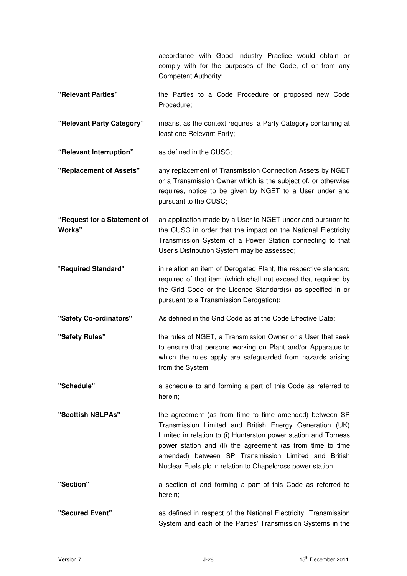accordance with Good Industry Practice would obtain or comply with for the purposes of the Code, of or from any Competent Authority;

- **"Relevant Parties"** the Parties to a Code Procedure or proposed new Code Procedure;
- **"Relevant Party Category"** means, as the context requires, a Party Category containing at least one Relevant Party;

**"Relevant Interruption"** as defined in the CUSC;

- **"Replacement of Assets"** any replacement of Transmission Connection Assets by NGET or a Transmission Owner which is the subject of, or otherwise requires, notice to be given by NGET to a User under and pursuant to the CUSC;
- **"Request for a Statement of Works"**  an application made by a User to NGET under and pursuant to the CUSC in order that the impact on the National Electricity Transmission System of a Power Station connecting to that User's Distribution System may be assessed;
- "**Required Standard**" in relation an item of Derogated Plant, the respective standard required of that item (which shall not exceed that required by the Grid Code or the Licence Standard(s) as specified in or pursuant to a Transmission Derogation);
- **"Safety Co-ordinators"** As defined in the Grid Code as at the Code Effective Date;
- **"Safety Rules"** the rules of NGET, a Transmission Owner or a User that seek to ensure that persons working on Plant and/or Apparatus to which the rules apply are safeguarded from hazards arising from the System;
- **"Schedule"** a schedule to and forming a part of this Code as referred to herein;
- **"Scottish NSLPAs"** the agreement (as from time to time amended) between SP Transmission Limited and British Energy Generation (UK) Limited in relation to (i) Hunterston power station and Torness power station and (ii) the agreement (as from time to time amended) between SP Transmission Limited and British Nuclear Fuels plc in relation to Chapelcross power station.
- **"Section"** a section of and forming a part of this Code as referred to herein;

**"Secured Event"** as defined in respect of the National Electricity Transmission System and each of the Parties' Transmission Systems in the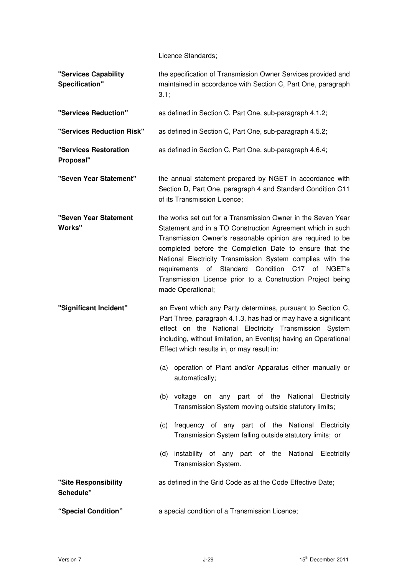Licence Standards;

| "Services Capability<br>Specification" | the specification of Transmission Owner Services provided and<br>maintained in accordance with Section C, Part One, paragraph<br>3.1;                                                                                                                                                                                                                                                                                                                                                                                                                                                                                                                                                                            |
|----------------------------------------|------------------------------------------------------------------------------------------------------------------------------------------------------------------------------------------------------------------------------------------------------------------------------------------------------------------------------------------------------------------------------------------------------------------------------------------------------------------------------------------------------------------------------------------------------------------------------------------------------------------------------------------------------------------------------------------------------------------|
| "Services Reduction"                   | as defined in Section C, Part One, sub-paragraph 4.1.2;                                                                                                                                                                                                                                                                                                                                                                                                                                                                                                                                                                                                                                                          |
| "Services Reduction Risk"              | as defined in Section C, Part One, sub-paragraph 4.5.2;                                                                                                                                                                                                                                                                                                                                                                                                                                                                                                                                                                                                                                                          |
| "Services Restoration<br>Proposal"     | as defined in Section C, Part One, sub-paragraph 4.6.4;                                                                                                                                                                                                                                                                                                                                                                                                                                                                                                                                                                                                                                                          |
| "Seven Year Statement"                 | the annual statement prepared by NGET in accordance with<br>Section D, Part One, paragraph 4 and Standard Condition C11<br>of its Transmission Licence;                                                                                                                                                                                                                                                                                                                                                                                                                                                                                                                                                          |
| "Seven Year Statement<br><b>Works"</b> | the works set out for a Transmission Owner in the Seven Year<br>Statement and in a TO Construction Agreement which in such<br>Transmission Owner's reasonable opinion are required to be<br>completed before the Completion Date to ensure that the<br>National Electricity Transmission System complies with the<br>of Standard Condition<br>requirements<br>C <sub>17</sub> of<br>NGET's<br>Transmission Licence prior to a Construction Project being<br>made Operational;                                                                                                                                                                                                                                    |
| "Significant Incident"                 | an Event which any Party determines, pursuant to Section C,<br>Part Three, paragraph 4.1.3, has had or may have a significant<br>effect on the National Electricity Transmission System<br>including, without limitation, an Event(s) having an Operational<br>Effect which results in, or may result in:<br>(a) operation of Plant and/or Apparatus either manually or<br>automatically;<br>(b) voltage on any part of the National Electricity<br>Transmission System moving outside statutory limits;<br>(c) frequency of any part of the National Electricity<br>Transmission System falling outside statutory limits; or<br>(d) instability of any part of the National Electricity<br>Transmission System. |
| "Site Responsibility<br>Schedule"      | as defined in the Grid Code as at the Code Effective Date;                                                                                                                                                                                                                                                                                                                                                                                                                                                                                                                                                                                                                                                       |
| "Special Condition"                    | a special condition of a Transmission Licence;                                                                                                                                                                                                                                                                                                                                                                                                                                                                                                                                                                                                                                                                   |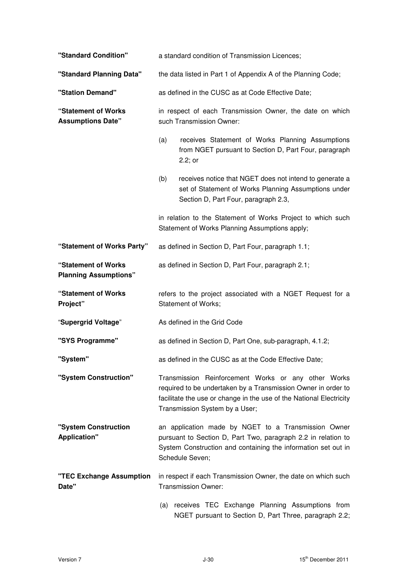| "Standard Condition"                                |                                                                                      | a standard condition of Transmission Licences;                                                                                                                                                                                |  |
|-----------------------------------------------------|--------------------------------------------------------------------------------------|-------------------------------------------------------------------------------------------------------------------------------------------------------------------------------------------------------------------------------|--|
| "Standard Planning Data"                            | the data listed in Part 1 of Appendix A of the Planning Code;                        |                                                                                                                                                                                                                               |  |
| "Station Demand"                                    | as defined in the CUSC as at Code Effective Date;                                    |                                                                                                                                                                                                                               |  |
| "Statement of Works<br><b>Assumptions Date"</b>     | in respect of each Transmission Owner, the date on which<br>such Transmission Owner: |                                                                                                                                                                                                                               |  |
|                                                     | (a)                                                                                  | receives Statement of Works Planning Assumptions<br>from NGET pursuant to Section D, Part Four, paragraph<br>2.2; or                                                                                                          |  |
|                                                     | (b)                                                                                  | receives notice that NGET does not intend to generate a<br>set of Statement of Works Planning Assumptions under<br>Section D, Part Four, paragraph 2.3,                                                                       |  |
|                                                     |                                                                                      | in relation to the Statement of Works Project to which such<br>Statement of Works Planning Assumptions apply;                                                                                                                 |  |
| "Statement of Works Party"                          |                                                                                      | as defined in Section D, Part Four, paragraph 1.1;                                                                                                                                                                            |  |
| "Statement of Works<br><b>Planning Assumptions"</b> |                                                                                      | as defined in Section D, Part Four, paragraph 2.1;                                                                                                                                                                            |  |
|                                                     |                                                                                      |                                                                                                                                                                                                                               |  |
| "Statement of Works<br>Project"                     |                                                                                      | refers to the project associated with a NGET Request for a<br>Statement of Works;                                                                                                                                             |  |
| "Supergrid Voltage"                                 |                                                                                      | As defined in the Grid Code                                                                                                                                                                                                   |  |
| "SYS Programme"                                     |                                                                                      | as defined in Section D, Part One, sub-paragraph, 4.1.2;                                                                                                                                                                      |  |
| "System"                                            |                                                                                      | as defined in the CUSC as at the Code Effective Date;                                                                                                                                                                         |  |
| "System Construction"                               |                                                                                      | Transmission Reinforcement Works or any other Works<br>required to be undertaken by a Transmission Owner in order to<br>facilitate the use or change in the use of the National Electricity<br>Transmission System by a User; |  |
| "System Construction<br><b>Application"</b>         |                                                                                      | an application made by NGET to a Transmission Owner<br>pursuant to Section D, Part Two, paragraph 2.2 in relation to<br>System Construction and containing the information set out in<br>Schedule Seven;                      |  |
| "TEC Exchange Assumption<br>Date"                   |                                                                                      | in respect if each Transmission Owner, the date on which such<br>Transmission Owner:                                                                                                                                          |  |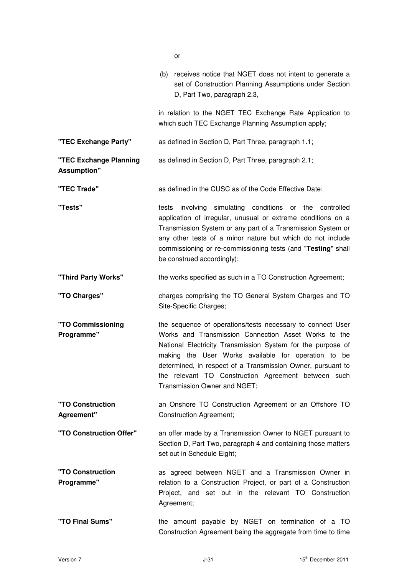|                                              | וש                                                                                                                                                                                                                                                                                                                                                                                             |
|----------------------------------------------|------------------------------------------------------------------------------------------------------------------------------------------------------------------------------------------------------------------------------------------------------------------------------------------------------------------------------------------------------------------------------------------------|
|                                              | (b) receives notice that NGET does not intent to generate a<br>set of Construction Planning Assumptions under Section<br>D, Part Two, paragraph 2.3,                                                                                                                                                                                                                                           |
|                                              | in relation to the NGET TEC Exchange Rate Application to<br>which such TEC Exchange Planning Assumption apply;                                                                                                                                                                                                                                                                                 |
| "TEC Exchange Party"                         | as defined in Section D, Part Three, paragraph 1.1;                                                                                                                                                                                                                                                                                                                                            |
| "TEC Exchange Planning<br><b>Assumption"</b> | as defined in Section D, Part Three, paragraph 2.1;                                                                                                                                                                                                                                                                                                                                            |
| "TEC Trade"                                  | as defined in the CUSC as of the Code Effective Date;                                                                                                                                                                                                                                                                                                                                          |
| "Tests"                                      | tests involving simulating conditions or the controlled<br>application of irregular, unusual or extreme conditions on a<br>Transmission System or any part of a Transmission System or<br>any other tests of a minor nature but which do not include<br>commissioning or re-commissioning tests (and "Testing" shall<br>be construed accordingly);                                             |
| "Third Party Works"                          | the works specified as such in a TO Construction Agreement;                                                                                                                                                                                                                                                                                                                                    |
| "TO Charges"                                 | charges comprising the TO General System Charges and TO<br>Site-Specific Charges;                                                                                                                                                                                                                                                                                                              |
| "TO Commissioning<br>Programme"              | the sequence of operations/tests necessary to connect User<br>Works and Transmission Connection Asset Works to the<br>National Electricity Transmission System for the purpose of<br>making the User Works available for operation to be<br>determined, in respect of a Transmission Owner, pursuant to<br>the relevant TO Construction Agreement between such<br>Transmission Owner and NGET; |
| "TO Construction<br>Agreement"               | an Onshore TO Construction Agreement or an Offshore TO<br><b>Construction Agreement;</b>                                                                                                                                                                                                                                                                                                       |
| "TO Construction Offer"                      | an offer made by a Transmission Owner to NGET pursuant to<br>Section D, Part Two, paragraph 4 and containing those matters<br>set out in Schedule Eight;                                                                                                                                                                                                                                       |
| "TO Construction<br>Programme"               | as agreed between NGET and a Transmission Owner in<br>relation to a Construction Project, or part of a Construction<br>Project, and set out in the relevant TO Construction<br>Agreement;                                                                                                                                                                                                      |
| "TO Final Sums"                              | the amount payable by NGET on termination of a TO<br>Construction Agreement being the aggregate from time to time                                                                                                                                                                                                                                                                              |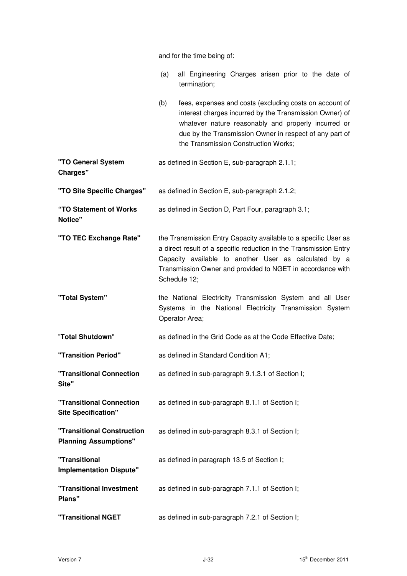and for the time being of:

|                                                            | all Engineering Charges arisen prior to the date of<br>(a)<br>termination;                                                                                                                                                                                                          |
|------------------------------------------------------------|-------------------------------------------------------------------------------------------------------------------------------------------------------------------------------------------------------------------------------------------------------------------------------------|
|                                                            | fees, expenses and costs (excluding costs on account of<br>(b)<br>interest charges incurred by the Transmission Owner) of<br>whatever nature reasonably and properly incurred or<br>due by the Transmission Owner in respect of any part of<br>the Transmission Construction Works; |
| "TO General System<br>Charges"                             | as defined in Section E, sub-paragraph 2.1.1;                                                                                                                                                                                                                                       |
| "TO Site Specific Charges"                                 | as defined in Section E, sub-paragraph 2.1.2;                                                                                                                                                                                                                                       |
| "TO Statement of Works<br>Notice"                          | as defined in Section D, Part Four, paragraph 3.1;                                                                                                                                                                                                                                  |
| "TO TEC Exchange Rate"                                     | the Transmission Entry Capacity available to a specific User as<br>a direct result of a specific reduction in the Transmission Entry<br>Capacity available to another User as calculated by a<br>Transmission Owner and provided to NGET in accordance with<br>Schedule 12;         |
| "Total System"                                             | the National Electricity Transmission System and all User<br>Systems in the National Electricity Transmission System<br>Operator Area;                                                                                                                                              |
| "Total Shutdown"                                           | as defined in the Grid Code as at the Code Effective Date;                                                                                                                                                                                                                          |
| "Transition Period"                                        | as defined in Standard Condition A1;                                                                                                                                                                                                                                                |
| "Transitional Connection<br>Site"                          | as defined in sub-paragraph 9.1.3.1 of Section I;                                                                                                                                                                                                                                   |
| "Transitional Connection<br><b>Site Specification"</b>     | as defined in sub-paragraph 8.1.1 of Section I;                                                                                                                                                                                                                                     |
| "Transitional Construction<br><b>Planning Assumptions"</b> | as defined in sub-paragraph 8.3.1 of Section I;                                                                                                                                                                                                                                     |
| "Transitional<br><b>Implementation Dispute"</b>            | as defined in paragraph 13.5 of Section I;                                                                                                                                                                                                                                          |
| "Transitional Investment<br>Plans"                         | as defined in sub-paragraph 7.1.1 of Section I;                                                                                                                                                                                                                                     |
| "Transitional NGET                                         | as defined in sub-paragraph 7.2.1 of Section I;                                                                                                                                                                                                                                     |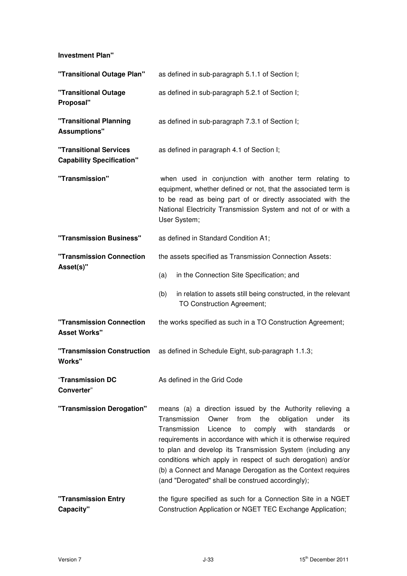**Investment Plan"** 

| "Transitional Outage Plan"                                        | as defined in sub-paragraph 5.1.1 of Section I;                                                                                                                                                                                                                                                                                                                                                                                                                                                                           |
|-------------------------------------------------------------------|---------------------------------------------------------------------------------------------------------------------------------------------------------------------------------------------------------------------------------------------------------------------------------------------------------------------------------------------------------------------------------------------------------------------------------------------------------------------------------------------------------------------------|
| "Transitional Outage<br>Proposal"                                 | as defined in sub-paragraph 5.2.1 of Section I;                                                                                                                                                                                                                                                                                                                                                                                                                                                                           |
| "Transitional Planning<br><b>Assumptions"</b>                     | as defined in sub-paragraph 7.3.1 of Section I;                                                                                                                                                                                                                                                                                                                                                                                                                                                                           |
| <b>"Transitional Services</b><br><b>Capability Specification"</b> | as defined in paragraph 4.1 of Section I;                                                                                                                                                                                                                                                                                                                                                                                                                                                                                 |
| "Transmission"                                                    | when used in conjunction with another term relating to<br>equipment, whether defined or not, that the associated term is<br>to be read as being part of or directly associated with the<br>National Electricity Transmission System and not of or with a<br>User System;                                                                                                                                                                                                                                                  |
| "Transmission Business"                                           | as defined in Standard Condition A1;                                                                                                                                                                                                                                                                                                                                                                                                                                                                                      |
| "Transmission Connection                                          | the assets specified as Transmission Connection Assets:                                                                                                                                                                                                                                                                                                                                                                                                                                                                   |
| Asset(s)"                                                         | in the Connection Site Specification; and<br>(a)                                                                                                                                                                                                                                                                                                                                                                                                                                                                          |
|                                                                   | in relation to assets still being constructed, in the relevant<br>(b)<br>TO Construction Agreement;                                                                                                                                                                                                                                                                                                                                                                                                                       |
| "Transmission Connection<br><b>Asset Works"</b>                   | the works specified as such in a TO Construction Agreement;                                                                                                                                                                                                                                                                                                                                                                                                                                                               |
| "Transmission Construction<br>Works"                              | as defined in Schedule Eight, sub-paragraph 1.1.3;                                                                                                                                                                                                                                                                                                                                                                                                                                                                        |
| "Transmission DC<br>Converter"                                    | As defined in the Grid Code                                                                                                                                                                                                                                                                                                                                                                                                                                                                                               |
| "Transmission Derogation"                                         | means (a) a direction issued by the Authority relieving a<br>Transmission<br>from<br>the<br>obligation<br>Owner<br>under<br>its<br>Transmission<br>with<br>Licence<br>to<br>comply<br>standards<br>or<br>requirements in accordance with which it is otherwise required<br>to plan and develop its Transmission System (including any<br>conditions which apply in respect of such derogation) and/or<br>(b) a Connect and Manage Derogation as the Context requires<br>(and "Derogated" shall be construed accordingly); |
| "Transmission Entry<br>Capacity"                                  | the figure specified as such for a Connection Site in a NGET<br>Construction Application or NGET TEC Exchange Application;                                                                                                                                                                                                                                                                                                                                                                                                |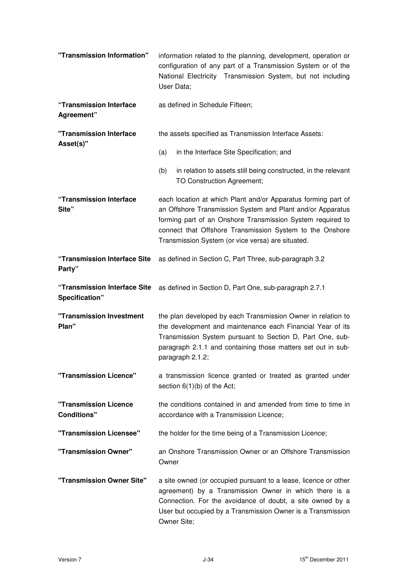| "Transmission Information"                     | information related to the planning, development, operation or<br>configuration of any part of a Transmission System or of the<br>National Electricity Transmission System, but not including<br>User Data;                                                                                                |
|------------------------------------------------|------------------------------------------------------------------------------------------------------------------------------------------------------------------------------------------------------------------------------------------------------------------------------------------------------------|
| "Transmission Interface<br>Agreement"          | as defined in Schedule Fifteen;                                                                                                                                                                                                                                                                            |
| "Transmission Interface                        | the assets specified as Transmission Interface Assets:                                                                                                                                                                                                                                                     |
| Asset(s)"                                      | in the Interface Site Specification; and<br>(a)                                                                                                                                                                                                                                                            |
|                                                | (b)<br>in relation to assets still being constructed, in the relevant<br>TO Construction Agreement;                                                                                                                                                                                                        |
| "Transmission Interface<br>Site"               | each location at which Plant and/or Apparatus forming part of<br>an Offshore Transmission System and Plant and/or Apparatus<br>forming part of an Onshore Transmission System required to<br>connect that Offshore Transmission System to the Onshore<br>Transmission System (or vice versa) are situated. |
| "Transmission Interface Site<br>Party"         | as defined in Section C, Part Three, sub-paragraph 3.2                                                                                                                                                                                                                                                     |
| "Transmission Interface Site<br>Specification" | as defined in Section D, Part One, sub-paragraph 2.7.1                                                                                                                                                                                                                                                     |
| "Transmission Investment<br>Plan"              | the plan developed by each Transmission Owner in relation to<br>the development and maintenance each Financial Year of its<br>Transmission System pursuant to Section D, Part One, sub-<br>paragraph 2.1.1 and containing those matters set out in sub-<br>paragraph 2.1.2;                                |
| "Transmission Licence"                         | a transmission licence granted or treated as granted under<br>section $6(1)(b)$ of the Act;                                                                                                                                                                                                                |
| "Transmission Licence<br><b>Conditions"</b>    | the conditions contained in and amended from time to time in<br>accordance with a Transmission Licence;                                                                                                                                                                                                    |
| "Transmission Licensee"                        | the holder for the time being of a Transmission Licence;                                                                                                                                                                                                                                                   |
| "Transmission Owner"                           | an Onshore Transmission Owner or an Offshore Transmission<br>Owner                                                                                                                                                                                                                                         |
| "Transmission Owner Site"                      | a site owned (or occupied pursuant to a lease, licence or other<br>agreement) by a Transmission Owner in which there is a<br>Connection. For the avoidance of doubt, a site owned by a<br>User but occupied by a Transmission Owner is a Transmission<br>Owner Site;                                       |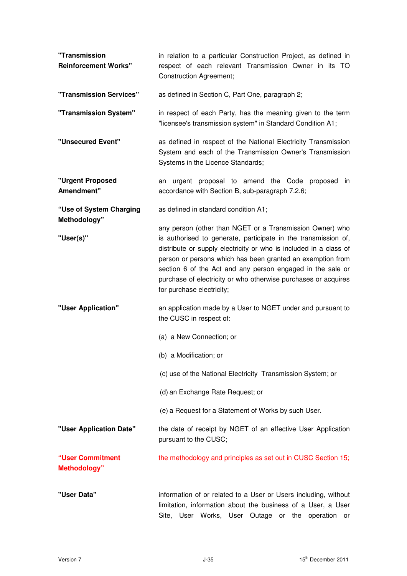| "Transmission<br><b>Reinforcement Works"</b> | in relation to a particular Construction Project, as defined in<br>respect of each relevant Transmission Owner in its TO<br><b>Construction Agreement;</b>                                                                                                                                                                                                                                                                 |
|----------------------------------------------|----------------------------------------------------------------------------------------------------------------------------------------------------------------------------------------------------------------------------------------------------------------------------------------------------------------------------------------------------------------------------------------------------------------------------|
| "Transmission Services"                      | as defined in Section C, Part One, paragraph 2;                                                                                                                                                                                                                                                                                                                                                                            |
| "Transmission System"                        | in respect of each Party, has the meaning given to the term<br>"licensee's transmission system" in Standard Condition A1;                                                                                                                                                                                                                                                                                                  |
| "Unsecured Event"                            | as defined in respect of the National Electricity Transmission<br>System and each of the Transmission Owner's Transmission<br>Systems in the Licence Standards;                                                                                                                                                                                                                                                            |
| "Urgent Proposed<br>Amendment"               | an urgent proposal to amend the Code proposed in<br>accordance with Section B, sub-paragraph 7.2.6;                                                                                                                                                                                                                                                                                                                        |
| "Use of System Charging<br>Methodology"      | as defined in standard condition A1;                                                                                                                                                                                                                                                                                                                                                                                       |
| "User(s)"                                    | any person (other than NGET or a Transmission Owner) who<br>is authorised to generate, participate in the transmission of,<br>distribute or supply electricity or who is included in a class of<br>person or persons which has been granted an exemption from<br>section 6 of the Act and any person engaged in the sale or<br>purchase of electricity or who otherwise purchases or acquires<br>for purchase electricity; |
| "User Application"                           | an application made by a User to NGET under and pursuant to<br>the CUSC in respect of:                                                                                                                                                                                                                                                                                                                                     |
|                                              | (a) a New Connection; or                                                                                                                                                                                                                                                                                                                                                                                                   |
|                                              | (b) a Modification; or                                                                                                                                                                                                                                                                                                                                                                                                     |
|                                              | (c) use of the National Electricity Transmission System; or                                                                                                                                                                                                                                                                                                                                                                |
|                                              | (d) an Exchange Rate Request; or                                                                                                                                                                                                                                                                                                                                                                                           |
|                                              | (e) a Request for a Statement of Works by such User.                                                                                                                                                                                                                                                                                                                                                                       |
| "User Application Date"                      | the date of receipt by NGET of an effective User Application<br>pursuant to the CUSC;                                                                                                                                                                                                                                                                                                                                      |
| "User Commitment<br><b>Methodology</b> "     | the methodology and principles as set out in CUSC Section 15;                                                                                                                                                                                                                                                                                                                                                              |
| "User Data"                                  | information of or related to a User or Users including, without<br>limitation, information about the business of a User, a User<br>Site, User Works, User Outage or the operation or                                                                                                                                                                                                                                       |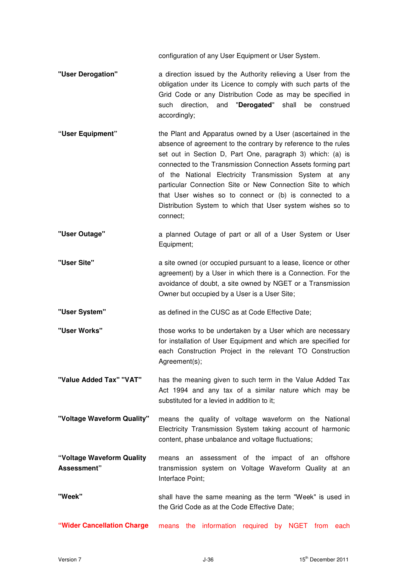configuration of any User Equipment or User System.

- **"User Derogation"** a direction issued by the Authority relieving a User from the obligation under its Licence to comply with such parts of the Grid Code or any Distribution Code as may be specified in such direction, and "**Derogated**" shall be construed accordingly;
- **"User Equipment"** the Plant and Apparatus owned by a User (ascertained in the absence of agreement to the contrary by reference to the rules set out in Section D, Part One, paragraph 3) which: (a) is connected to the Transmission Connection Assets forming part of the National Electricity Transmission System at any particular Connection Site or New Connection Site to which that User wishes so to connect or (b) is connected to a Distribution System to which that User system wishes so to connect;
- **"User Outage"** a planned Outage of part or all of a User System or User Equipment;
- **"User Site"** a site owned (or occupied pursuant to a lease, licence or other agreement) by a User in which there is a Connection. For the avoidance of doubt, a site owned by NGET or a Transmission Owner but occupied by a User is a User Site;

**"User System"** as defined in the CUSC as at Code Effective Date;

**"User Works"** those works to be undertaken by a User which are necessary for installation of User Equipment and which are specified for each Construction Project in the relevant TO Construction Agreement(s):

**"Value Added Tax" "VAT"** has the meaning given to such term in the Value Added Tax Act 1994 and any tax of a similar nature which may be substituted for a levied in addition to it;

**"Voltage Waveform Quality"** means the quality of voltage waveform on the National Electricity Transmission System taking account of harmonic content, phase unbalance and voltage fluctuations;

**"Voltage Waveform Quality Assessment"**  means an assessment of the impact of an offshore transmission system on Voltage Waveform Quality at an Interface Point;

- **"Week"**  shall have the same meaning as the term "Week" is used in the Grid Code as at the Code Effective Date;
- **"Wider Cancellation Charge** means the information required by NGET from each